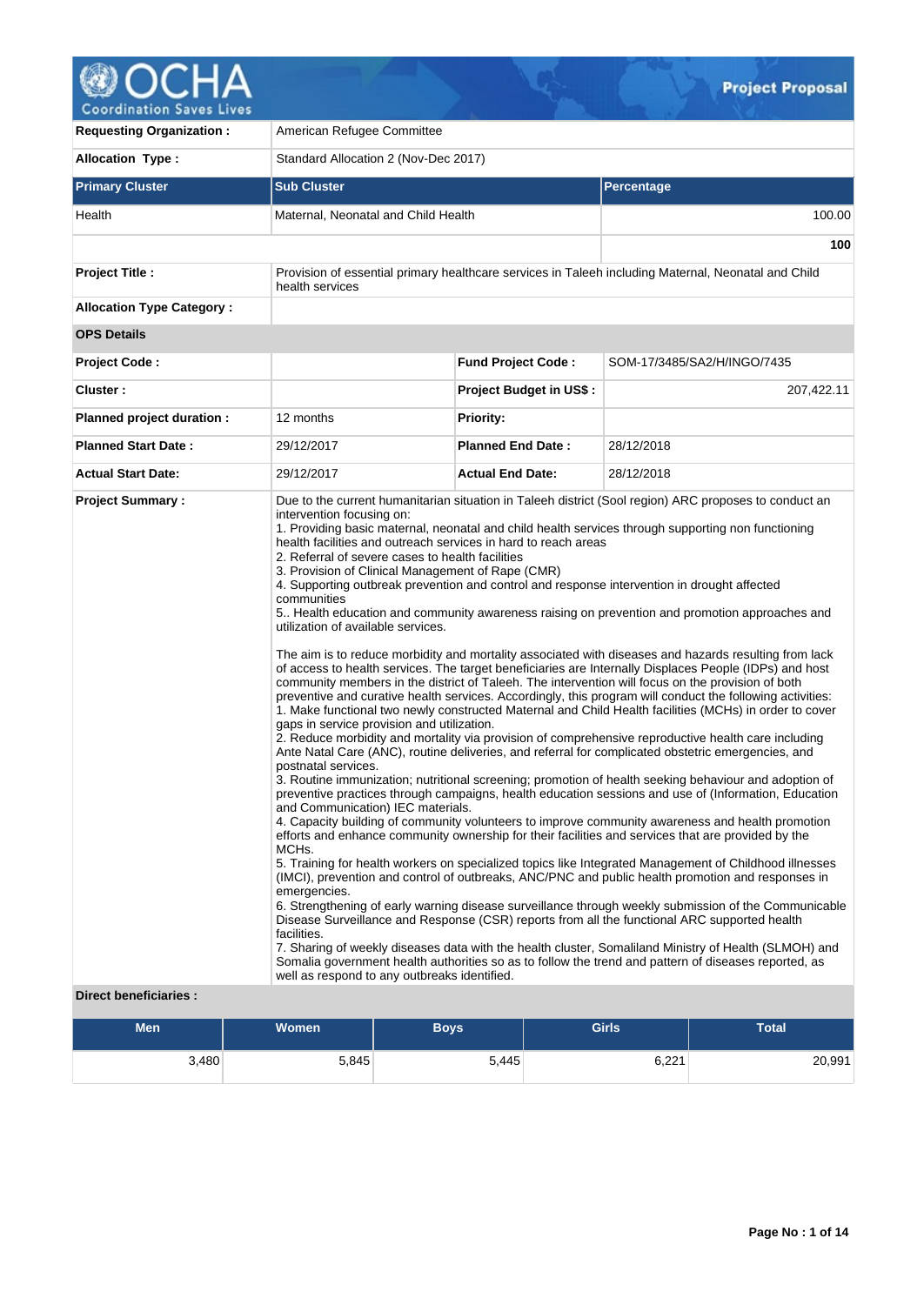

| <b>Requesting Organization:</b>                         | American Refugee Committee                                                                                                                                                                                                                                                                                                                                                                                                                                               |                                                                                                                                                                                                                                                                                                                                                                                                                                                                                                                                                                                                                                                                                                                                                                                                                                                                                                                                                                                                                                                                                                                                                                                                                                                                                                                                                                                                                                                                                                                                                                                                                                                                                                                                                                                                                                                                                                                                                                                                                                                                                                                                                                                                                                             |                                                                                                     |  |  |  |  |  |  |
|---------------------------------------------------------|--------------------------------------------------------------------------------------------------------------------------------------------------------------------------------------------------------------------------------------------------------------------------------------------------------------------------------------------------------------------------------------------------------------------------------------------------------------------------|---------------------------------------------------------------------------------------------------------------------------------------------------------------------------------------------------------------------------------------------------------------------------------------------------------------------------------------------------------------------------------------------------------------------------------------------------------------------------------------------------------------------------------------------------------------------------------------------------------------------------------------------------------------------------------------------------------------------------------------------------------------------------------------------------------------------------------------------------------------------------------------------------------------------------------------------------------------------------------------------------------------------------------------------------------------------------------------------------------------------------------------------------------------------------------------------------------------------------------------------------------------------------------------------------------------------------------------------------------------------------------------------------------------------------------------------------------------------------------------------------------------------------------------------------------------------------------------------------------------------------------------------------------------------------------------------------------------------------------------------------------------------------------------------------------------------------------------------------------------------------------------------------------------------------------------------------------------------------------------------------------------------------------------------------------------------------------------------------------------------------------------------------------------------------------------------------------------------------------------------|-----------------------------------------------------------------------------------------------------|--|--|--|--|--|--|
| <b>Allocation Type:</b>                                 | Standard Allocation 2 (Nov-Dec 2017)                                                                                                                                                                                                                                                                                                                                                                                                                                     |                                                                                                                                                                                                                                                                                                                                                                                                                                                                                                                                                                                                                                                                                                                                                                                                                                                                                                                                                                                                                                                                                                                                                                                                                                                                                                                                                                                                                                                                                                                                                                                                                                                                                                                                                                                                                                                                                                                                                                                                                                                                                                                                                                                                                                             |                                                                                                     |  |  |  |  |  |  |
| <b>Primary Cluster</b>                                  | <b>Sub Cluster</b>                                                                                                                                                                                                                                                                                                                                                                                                                                                       |                                                                                                                                                                                                                                                                                                                                                                                                                                                                                                                                                                                                                                                                                                                                                                                                                                                                                                                                                                                                                                                                                                                                                                                                                                                                                                                                                                                                                                                                                                                                                                                                                                                                                                                                                                                                                                                                                                                                                                                                                                                                                                                                                                                                                                             | Percentage                                                                                          |  |  |  |  |  |  |
| Health                                                  | Maternal, Neonatal and Child Health                                                                                                                                                                                                                                                                                                                                                                                                                                      |                                                                                                                                                                                                                                                                                                                                                                                                                                                                                                                                                                                                                                                                                                                                                                                                                                                                                                                                                                                                                                                                                                                                                                                                                                                                                                                                                                                                                                                                                                                                                                                                                                                                                                                                                                                                                                                                                                                                                                                                                                                                                                                                                                                                                                             | 100.00                                                                                              |  |  |  |  |  |  |
|                                                         |                                                                                                                                                                                                                                                                                                                                                                                                                                                                          |                                                                                                                                                                                                                                                                                                                                                                                                                                                                                                                                                                                                                                                                                                                                                                                                                                                                                                                                                                                                                                                                                                                                                                                                                                                                                                                                                                                                                                                                                                                                                                                                                                                                                                                                                                                                                                                                                                                                                                                                                                                                                                                                                                                                                                             | 100                                                                                                 |  |  |  |  |  |  |
| <b>Project Title:</b>                                   | health services                                                                                                                                                                                                                                                                                                                                                                                                                                                          |                                                                                                                                                                                                                                                                                                                                                                                                                                                                                                                                                                                                                                                                                                                                                                                                                                                                                                                                                                                                                                                                                                                                                                                                                                                                                                                                                                                                                                                                                                                                                                                                                                                                                                                                                                                                                                                                                                                                                                                                                                                                                                                                                                                                                                             | Provision of essential primary healthcare services in Taleeh including Maternal, Neonatal and Child |  |  |  |  |  |  |
| <b>Allocation Type Category:</b>                        |                                                                                                                                                                                                                                                                                                                                                                                                                                                                          |                                                                                                                                                                                                                                                                                                                                                                                                                                                                                                                                                                                                                                                                                                                                                                                                                                                                                                                                                                                                                                                                                                                                                                                                                                                                                                                                                                                                                                                                                                                                                                                                                                                                                                                                                                                                                                                                                                                                                                                                                                                                                                                                                                                                                                             |                                                                                                     |  |  |  |  |  |  |
| <b>OPS Details</b>                                      |                                                                                                                                                                                                                                                                                                                                                                                                                                                                          |                                                                                                                                                                                                                                                                                                                                                                                                                                                                                                                                                                                                                                                                                                                                                                                                                                                                                                                                                                                                                                                                                                                                                                                                                                                                                                                                                                                                                                                                                                                                                                                                                                                                                                                                                                                                                                                                                                                                                                                                                                                                                                                                                                                                                                             |                                                                                                     |  |  |  |  |  |  |
| <b>Project Code:</b>                                    |                                                                                                                                                                                                                                                                                                                                                                                                                                                                          | <b>Fund Project Code:</b>                                                                                                                                                                                                                                                                                                                                                                                                                                                                                                                                                                                                                                                                                                                                                                                                                                                                                                                                                                                                                                                                                                                                                                                                                                                                                                                                                                                                                                                                                                                                                                                                                                                                                                                                                                                                                                                                                                                                                                                                                                                                                                                                                                                                                   | SOM-17/3485/SA2/H/INGO/7435                                                                         |  |  |  |  |  |  |
| Cluster:                                                |                                                                                                                                                                                                                                                                                                                                                                                                                                                                          | <b>Project Budget in US\$:</b>                                                                                                                                                                                                                                                                                                                                                                                                                                                                                                                                                                                                                                                                                                                                                                                                                                                                                                                                                                                                                                                                                                                                                                                                                                                                                                                                                                                                                                                                                                                                                                                                                                                                                                                                                                                                                                                                                                                                                                                                                                                                                                                                                                                                              | 207,422.11                                                                                          |  |  |  |  |  |  |
| Planned project duration :                              | 12 months                                                                                                                                                                                                                                                                                                                                                                                                                                                                | <b>Priority:</b>                                                                                                                                                                                                                                                                                                                                                                                                                                                                                                                                                                                                                                                                                                                                                                                                                                                                                                                                                                                                                                                                                                                                                                                                                                                                                                                                                                                                                                                                                                                                                                                                                                                                                                                                                                                                                                                                                                                                                                                                                                                                                                                                                                                                                            |                                                                                                     |  |  |  |  |  |  |
| <b>Planned Start Date:</b>                              | 29/12/2017                                                                                                                                                                                                                                                                                                                                                                                                                                                               | <b>Planned End Date:</b>                                                                                                                                                                                                                                                                                                                                                                                                                                                                                                                                                                                                                                                                                                                                                                                                                                                                                                                                                                                                                                                                                                                                                                                                                                                                                                                                                                                                                                                                                                                                                                                                                                                                                                                                                                                                                                                                                                                                                                                                                                                                                                                                                                                                                    | 28/12/2018                                                                                          |  |  |  |  |  |  |
| <b>Actual Start Date:</b>                               | 29/12/2017                                                                                                                                                                                                                                                                                                                                                                                                                                                               | <b>Actual End Date:</b>                                                                                                                                                                                                                                                                                                                                                                                                                                                                                                                                                                                                                                                                                                                                                                                                                                                                                                                                                                                                                                                                                                                                                                                                                                                                                                                                                                                                                                                                                                                                                                                                                                                                                                                                                                                                                                                                                                                                                                                                                                                                                                                                                                                                                     | 28/12/2018                                                                                          |  |  |  |  |  |  |
| <b>Project Summary:</b><br><b>Direct beneficiaries:</b> | intervention focusing on:<br>health facilities and outreach services in hard to reach areas<br>2. Referral of severe cases to health facilities<br>3. Provision of Clinical Management of Rape (CMR)<br>communities<br>utilization of available services.<br>gaps in service provision and utilization.<br>postnatal services.<br>and Communication) IEC materials.<br>MCH <sub>s</sub> .<br>emergencies.<br>facilities.<br>well as respond to any outbreaks identified. | Due to the current humanitarian situation in Taleeh district (Sool region) ARC proposes to conduct an<br>1. Providing basic maternal, neonatal and child health services through supporting non functioning<br>4. Supporting outbreak prevention and control and response intervention in drought affected<br>5. Health education and community awareness raising on prevention and promotion approaches and<br>The aim is to reduce morbidity and mortality associated with diseases and hazards resulting from lack<br>of access to health services. The target beneficiaries are Internally Displaces People (IDPs) and host<br>community members in the district of Taleeh. The intervention will focus on the provision of both<br>preventive and curative health services. Accordingly, this program will conduct the following activities:<br>1. Make functional two newly constructed Maternal and Child Health facilities (MCHs) in order to cover<br>2. Reduce morbidity and mortality via provision of comprehensive reproductive health care including<br>Ante Natal Care (ANC), routine deliveries, and referral for complicated obstetric emergencies, and<br>3. Routine immunization; nutritional screening; promotion of health seeking behaviour and adoption of<br>preventive practices through campaigns, health education sessions and use of (Information, Education<br>4. Capacity building of community volunteers to improve community awareness and health promotion<br>efforts and enhance community ownership for their facilities and services that are provided by the<br>5. Training for health workers on specialized topics like Integrated Management of Childhood illnesses<br>(IMCI), prevention and control of outbreaks, ANC/PNC and public health promotion and responses in<br>6. Strengthening of early warning disease surveillance through weekly submission of the Communicable<br>Disease Surveillance and Response (CSR) reports from all the functional ARC supported health<br>7. Sharing of weekly diseases data with the health cluster, Somaliland Ministry of Health (SLMOH) and<br>Somalia government health authorities so as to follow the trend and pattern of diseases reported, as |                                                                                                     |  |  |  |  |  |  |

| Men   | <b>Women</b> | <b>Boys</b> | <b>Girls</b> | <b>Total</b> |
|-------|--------------|-------------|--------------|--------------|
| 3,480 | 5,845        | 5,445       | 6,221        | 20,991       |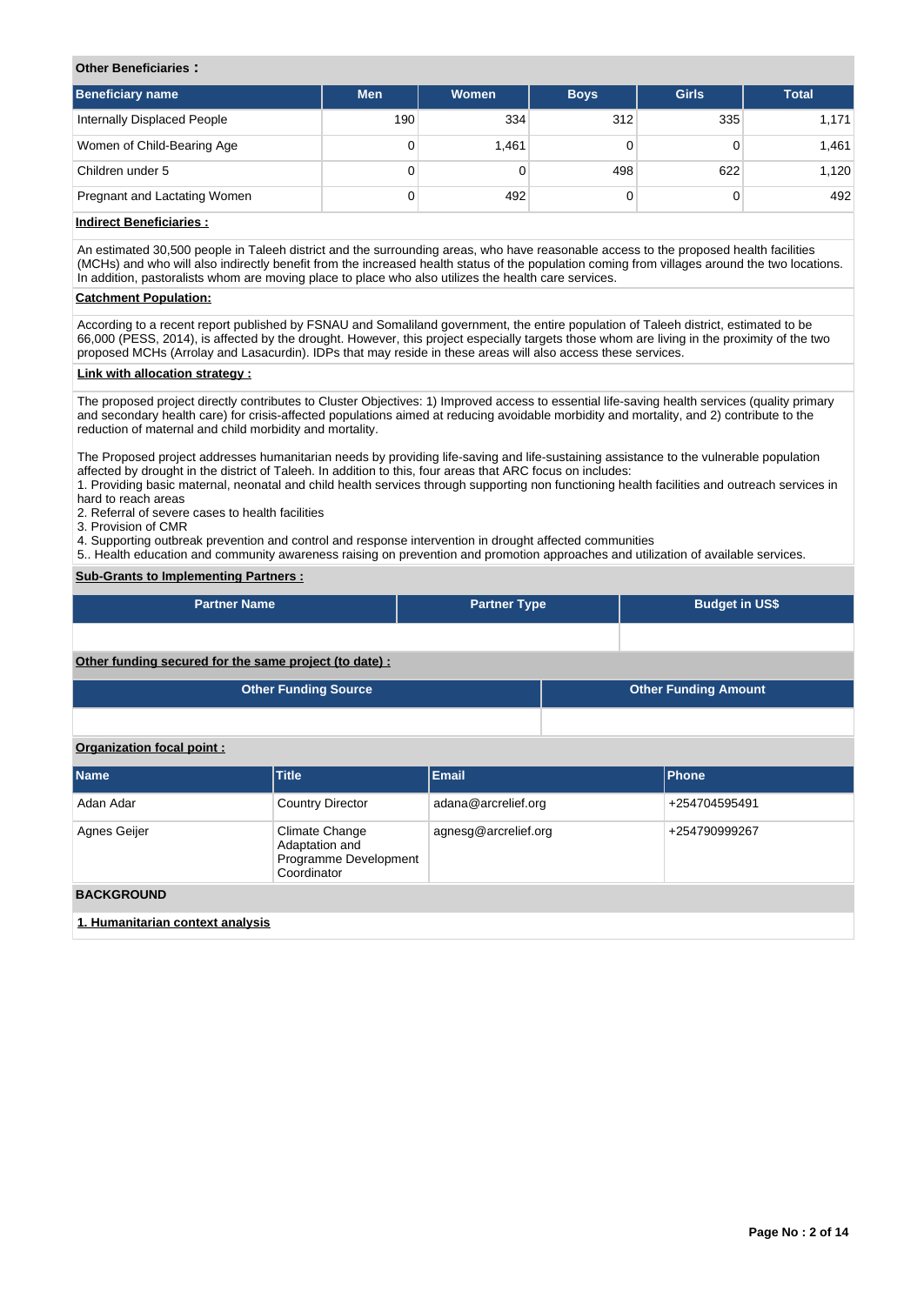## **Other Beneficiaries :**

| <b>Beneficiary name</b>      | <b>Men</b> | <b>Women</b> | <b>Boys</b> | <b>Girls</b> | <b>Total</b> |
|------------------------------|------------|--------------|-------------|--------------|--------------|
| Internally Displaced People  | 190        | 334          | 312         | 335          | 1,171        |
| Women of Child-Bearing Age   | 0          | 1,461        |             |              | 1,461        |
| Children under 5             | 0          |              | 498         | 622          | 1,120        |
| Pregnant and Lactating Women | 0          | 492          |             |              | 492          |

## **Indirect Beneficiaries :**

An estimated 30,500 people in Taleeh district and the surrounding areas, who have reasonable access to the proposed health facilities (MCHs) and who will also indirectly benefit from the increased health status of the population coming from villages around the two locations. In addition, pastoralists whom are moving place to place who also utilizes the health care services.

## **Catchment Population:**

According to a recent report published by FSNAU and Somaliland government, the entire population of Taleeh district, estimated to be 66,000 (PESS, 2014), is affected by the drought. However, this project especially targets those whom are living in the proximity of the two proposed MCHs (Arrolay and Lasacurdin). IDPs that may reside in these areas will also access these services.

#### **Link with allocation strategy :**

The proposed project directly contributes to Cluster Objectives: 1) Improved access to essential life-saving health services (quality primary and secondary health care) for crisis-affected populations aimed at reducing avoidable morbidity and mortality, and 2) contribute to the reduction of maternal and child morbidity and mortality.

The Proposed project addresses humanitarian needs by providing life-saving and life-sustaining assistance to the vulnerable population affected by drought in the district of Taleeh. In addition to this, four areas that ARC focus on includes:

1. Providing basic maternal, neonatal and child health services through supporting non functioning health facilities and outreach services in hard to reach areas

2. Referral of severe cases to health facilities

3. Provision of CMR

4. Supporting outbreak prevention and control and response intervention in drought affected communities

5. Health education and community awareness raising on prevention and promotion approaches and utilization of available services.

## **Sub-Grants to Implementing Partners :**

| <b>Partner Name</b>                                    |                                                                          | <b>Partner Type</b>  |  | <b>Budget in US\$</b>       |  |  |  |  |  |
|--------------------------------------------------------|--------------------------------------------------------------------------|----------------------|--|-----------------------------|--|--|--|--|--|
|                                                        |                                                                          |                      |  |                             |  |  |  |  |  |
| Other funding secured for the same project (to date) : |                                                                          |                      |  |                             |  |  |  |  |  |
|                                                        | <b>Other Funding Source</b>                                              |                      |  | <b>Other Funding Amount</b> |  |  |  |  |  |
|                                                        |                                                                          |                      |  |                             |  |  |  |  |  |
| Organization focal point:                              |                                                                          |                      |  |                             |  |  |  |  |  |
| <b>Name</b>                                            | <b>Title</b>                                                             | <b>Email</b>         |  | Phone                       |  |  |  |  |  |
| Adan Adar                                              | <b>Country Director</b>                                                  | adana@arcrelief.org  |  | +254704595491               |  |  |  |  |  |
| Agnes Geijer                                           | Climate Change<br>Adaptation and<br>Programme Development<br>Coordinator | agnesg@arcrelief.org |  | +254790999267               |  |  |  |  |  |
| <b>BACKGROUND</b>                                      |                                                                          |                      |  |                             |  |  |  |  |  |
| 1. Humanitarian context analysis                       |                                                                          |                      |  |                             |  |  |  |  |  |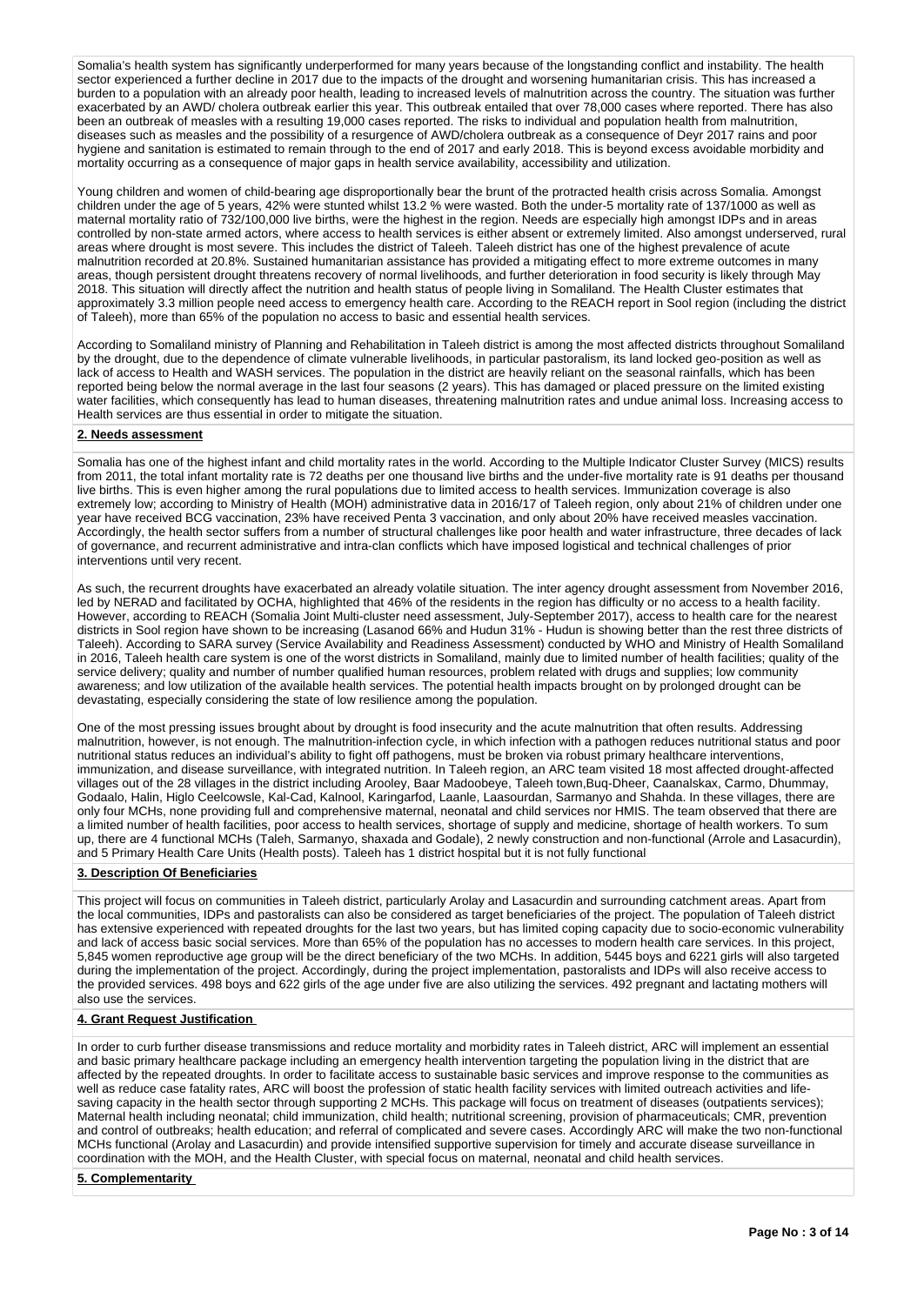Somalia's health system has significantly underperformed for many years because of the longstanding conflict and instability. The health sector experienced a further decline in 2017 due to the impacts of the drought and worsening humanitarian crisis. This has increased a burden to a population with an already poor health, leading to increased levels of malnutrition across the country. The situation was further exacerbated by an AWD/ cholera outbreak earlier this year. This outbreak entailed that over 78,000 cases where reported. There has also been an outbreak of measles with a resulting 19,000 cases reported. The risks to individual and population health from malnutrition, diseases such as measles and the possibility of a resurgence of AWD/cholera outbreak as a consequence of Deyr 2017 rains and poor hygiene and sanitation is estimated to remain through to the end of 2017 and early 2018. This is beyond excess avoidable morbidity and mortality occurring as a consequence of major gaps in health service availability, accessibility and utilization.

Young children and women of child-bearing age disproportionally bear the brunt of the protracted health crisis across Somalia. Amongst children under the age of 5 years, 42% were stunted whilst 13.2 % were wasted. Both the under-5 mortality rate of 137/1000 as well as maternal mortality ratio of 732/100,000 live births, were the highest in the region. Needs are especially high amongst IDPs and in areas controlled by non-state armed actors, where access to health services is either absent or extremely limited. Also amongst underserved, rural areas where drought is most severe. This includes the district of Taleeh. Taleeh district has one of the highest prevalence of acute malnutrition recorded at 20.8%. Sustained humanitarian assistance has provided a mitigating effect to more extreme outcomes in many areas, though persistent drought threatens recovery of normal livelihoods, and further deterioration in food security is likely through May 2018. This situation will directly affect the nutrition and health status of people living in Somaliland. The Health Cluster estimates that approximately 3.3 million people need access to emergency health care. According to the REACH report in Sool region (including the district of Taleeh), more than 65% of the population no access to basic and essential health services.

According to Somaliland ministry of Planning and Rehabilitation in Taleeh district is among the most affected districts throughout Somaliland by the drought, due to the dependence of climate vulnerable livelihoods, in particular pastoralism, its land locked geo-position as well as lack of access to Health and WASH services. The population in the district are heavily reliant on the seasonal rainfalls, which has been reported being below the normal average in the last four seasons (2 years). This has damaged or placed pressure on the limited existing water facilities, which consequently has lead to human diseases, threatening malnutrition rates and undue animal loss. Increasing access to Health services are thus essential in order to mitigate the situation.

#### **2. Needs assessment**

Somalia has one of the highest infant and child mortality rates in the world. According to the Multiple Indicator Cluster Survey (MICS) results from 2011, the total infant mortality rate is 72 deaths per one thousand live births and the under-five mortality rate is 91 deaths per thousand live births. This is even higher among the rural populations due to limited access to health services. Immunization coverage is also extremely low; according to Ministry of Health (MOH) administrative data in 2016/17 of Taleeh region, only about 21% of children under one year have received BCG vaccination, 23% have received Penta 3 vaccination, and only about 20% have received measles vaccination. Accordingly, the health sector suffers from a number of structural challenges like poor health and water infrastructure, three decades of lack of governance, and recurrent administrative and intra-clan conflicts which have imposed logistical and technical challenges of prior interventions until very recent.

As such, the recurrent droughts have exacerbated an already volatile situation. The inter agency drought assessment from November 2016, led by NERAD and facilitated by OCHA, highlighted that 46% of the residents in the region has difficulty or no access to a health facility. However, according to REACH (Somalia Joint Multi-cluster need assessment, July-September 2017), access to health care for the nearest districts in Sool region have shown to be increasing (Lasanod 66% and Hudun 31% - Hudun is showing better than the rest three districts of Taleeh). According to SARA survey (Service Availability and Readiness Assessment) conducted by WHO and Ministry of Health Somaliland in 2016, Taleeh health care system is one of the worst districts in Somaliland, mainly due to limited number of health facilities; quality of the service delivery; quality and number of number qualified human resources, problem related with drugs and supplies; low community awareness; and low utilization of the available health services. The potential health impacts brought on by prolonged drought can be devastating, especially considering the state of low resilience among the population.

One of the most pressing issues brought about by drought is food insecurity and the acute malnutrition that often results. Addressing malnutrition, however, is not enough. The malnutrition-infection cycle, in which infection with a pathogen reduces nutritional status and poor nutritional status reduces an individual's ability to fight off pathogens, must be broken via robust primary healthcare interventions, immunization, and disease surveillance, with integrated nutrition. In Taleeh region, an ARC team visited 18 most affected drought-affected villages out of the 28 villages in the district including Arooley, Baar Madoobeye, Taleeh town,Buq-Dheer, Caanalskax, Carmo, Dhummay, Godaalo, Halin, Higlo Ceelcowsle, Kal-Cad, Kalnool, Karingarfod, Laanle, Laasourdan, Sarmanyo and Shahda. In these villages, there are only four MCHs, none providing full and comprehensive maternal, neonatal and child services nor HMIS. The team observed that there are a limited number of health facilities, poor access to health services, shortage of supply and medicine, shortage of health workers. To sum up, there are 4 functional MCHs (Taleh, Sarmanyo, shaxada and Godale), 2 newly construction and non-functional (Arrole and Lasacurdin), and 5 Primary Health Care Units (Health posts). Taleeh has 1 district hospital but it is not fully functional

#### **3. Description Of Beneficiaries**

This project will focus on communities in Taleeh district, particularly Arolay and Lasacurdin and surrounding catchment areas. Apart from the local communities, IDPs and pastoralists can also be considered as target beneficiaries of the project. The population of Taleeh district has extensive experienced with repeated droughts for the last two years, but has limited coping capacity due to socio-economic vulnerability and lack of access basic social services. More than 65% of the population has no accesses to modern health care services. In this project, 5,845 women reproductive age group will be the direct beneficiary of the two MCHs. In addition, 5445 boys and 6221 girls will also targeted during the implementation of the project. Accordingly, during the project implementation, pastoralists and IDPs will also receive access to the provided services. 498 boys and 622 girls of the age under five are also utilizing the services. 492 pregnant and lactating mothers will also use the services.

## **4. Grant Request Justification**

In order to curb further disease transmissions and reduce mortality and morbidity rates in Taleeh district, ARC will implement an essential and basic primary healthcare package including an emergency health intervention targeting the population living in the district that are affected by the repeated droughts. In order to facilitate access to sustainable basic services and improve response to the communities as well as reduce case fatality rates, ARC will boost the profession of static health facility services with limited outreach activities and lifesaving capacity in the health sector through supporting 2 MCHs. This package will focus on treatment of diseases (outpatients services); Maternal health including neonatal; child immunization, child health; nutritional screening, provision of pharmaceuticals; CMR, prevention and control of outbreaks; health education; and referral of complicated and severe cases. Accordingly ARC will make the two non-functional MCHs functional (Arolay and Lasacurdin) and provide intensified supportive supervision for timely and accurate disease surveillance in coordination with the MOH, and the Health Cluster, with special focus on maternal, neonatal and child health services.

#### **5. Complementarity**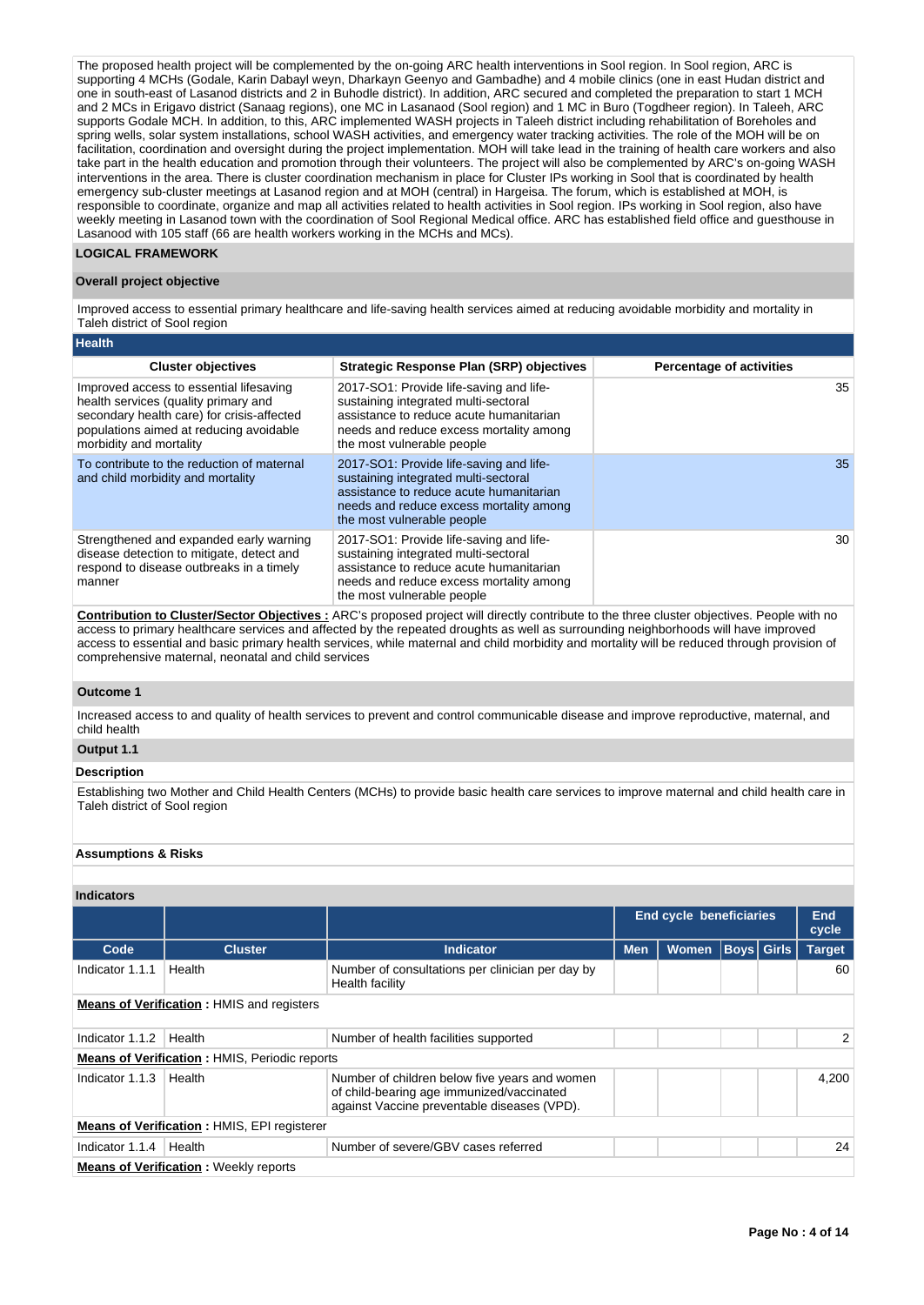The proposed health project will be complemented by the on-going ARC health interventions in Sool region. In Sool region, ARC is supporting 4 MCHs (Godale, Karin Dabayl weyn, Dharkayn Geenyo and Gambadhe) and 4 mobile clinics (one in east Hudan district and one in south-east of Lasanod districts and 2 in Buhodle district). In addition, ARC secured and completed the preparation to start 1 MCH and 2 MCs in Erigavo district (Sanaag regions), one MC in Lasanaod (Sool region) and 1 MC in Buro (Togdheer region). In Taleeh, ARC supports Godale MCH. In addition, to this, ARC implemented WASH projects in Taleeh district including rehabilitation of Boreholes and spring wells, solar system installations, school WASH activities, and emergency water tracking activities. The role of the MOH will be on facilitation, coordination and oversight during the project implementation. MOH will take lead in the training of health care workers and also take part in the health education and promotion through their volunteers. The project will also be complemented by ARC's on-going WASH interventions in the area. There is cluster coordination mechanism in place for Cluster IPs working in Sool that is coordinated by health emergency sub-cluster meetings at Lasanod region and at MOH (central) in Hargeisa. The forum, which is established at MOH, is responsible to coordinate, organize and map all activities related to health activities in Sool region. IPs working in Sool region, also have weekly meeting in Lasanod town with the coordination of Sool Regional Medical office. ARC has established field office and guesthouse in Lasanood with 105 staff (66 are health workers working in the MCHs and MCs).

## **LOGICAL FRAMEWORK**

#### **Overall project objective**

Improved access to essential primary healthcare and life-saving health services aimed at reducing avoidable morbidity and mortality in Taleh district of Sool region

| ∣Health                                                                                                                                                                                             |                                                                                                                                                                                                     |                                 |
|-----------------------------------------------------------------------------------------------------------------------------------------------------------------------------------------------------|-----------------------------------------------------------------------------------------------------------------------------------------------------------------------------------------------------|---------------------------------|
| <b>Cluster objectives</b>                                                                                                                                                                           | <b>Strategic Response Plan (SRP) objectives</b>                                                                                                                                                     | <b>Percentage of activities</b> |
| Improved access to essential lifesaving<br>health services (quality primary and<br>secondary health care) for crisis-affected<br>populations aimed at reducing avoidable<br>morbidity and mortality | 2017-SO1: Provide life-saving and life-<br>sustaining integrated multi-sectoral<br>assistance to reduce acute humanitarian<br>needs and reduce excess mortality among<br>the most vulnerable people | 35                              |
| To contribute to the reduction of maternal<br>and child morbidity and mortality                                                                                                                     | 2017-SO1: Provide life-saving and life-<br>sustaining integrated multi-sectoral<br>assistance to reduce acute humanitarian<br>needs and reduce excess mortality among<br>the most vulnerable people | 35                              |
| Strengthened and expanded early warning<br>disease detection to mitigate, detect and<br>respond to disease outbreaks in a timely<br>manner                                                          | 2017-SO1: Provide life-saving and life-<br>sustaining integrated multi-sectoral<br>assistance to reduce acute humanitarian<br>needs and reduce excess mortality among<br>the most vulnerable people | 30                              |
|                                                                                                                                                                                                     | According to AlexandAccord Alterties - ABAb access that the different conditions of the discussion of the Contract Library                                                                          |                                 |

**Contribution to Cluster/Sector Objectives :** ARC's proposed project will directly contribute to the three cluster objectives. People with no access to primary healthcare services and affected by the repeated droughts as well as surrounding neighborhoods will have improved access to essential and basic primary health services, while maternal and child morbidity and mortality will be reduced through provision of comprehensive maternal, neonatal and child services

#### **Outcome 1**

Increased access to and quality of health services to prevent and control communicable disease and improve reproductive, maternal, and child health

## **Output 1.1**

## **Description**

Establishing two Mother and Child Health Centers (MCHs) to provide basic health care services to improve maternal and child health care in Taleh district of Sool region

## **Assumptions & Risks**

| <b>Indicators</b>                                |                                                      |                                                                                                                                           |                                                 |  |  |  |                |  |
|--------------------------------------------------|------------------------------------------------------|-------------------------------------------------------------------------------------------------------------------------------------------|-------------------------------------------------|--|--|--|----------------|--|
|                                                  |                                                      |                                                                                                                                           | <b>End cycle beneficiaries</b>                  |  |  |  | End<br>cycle   |  |
| Code                                             | <b>Cluster</b>                                       | <b>Indicator</b>                                                                                                                          | <b>Boys Girls</b><br><b>Men</b><br><b>Women</b> |  |  |  | <b>Target</b>  |  |
| Indicator 1.1.1                                  | Health                                               | Number of consultations per clinician per day by<br>Health facility                                                                       |                                                 |  |  |  | 60             |  |
| <b>Means of Verification:</b> HMIS and registers |                                                      |                                                                                                                                           |                                                 |  |  |  |                |  |
| Indicator 1.1.2                                  | Health                                               | Number of health facilities supported                                                                                                     |                                                 |  |  |  | $\overline{2}$ |  |
|                                                  | <b>Means of Verification: HMIS, Periodic reports</b> |                                                                                                                                           |                                                 |  |  |  |                |  |
| Indicator 1.1.3                                  | Health                                               | Number of children below five years and women<br>of child-bearing age immunized/vaccinated<br>against Vaccine preventable diseases (VPD). |                                                 |  |  |  | 4.200          |  |
|                                                  | <b>Means of Verification: HMIS, EPI registerer</b>   |                                                                                                                                           |                                                 |  |  |  |                |  |
| Indicator 1.1.4                                  | Health                                               | Number of severe/GBV cases referred                                                                                                       |                                                 |  |  |  | 24             |  |
|                                                  | <b>Means of Verification:</b> Weekly reports         |                                                                                                                                           |                                                 |  |  |  |                |  |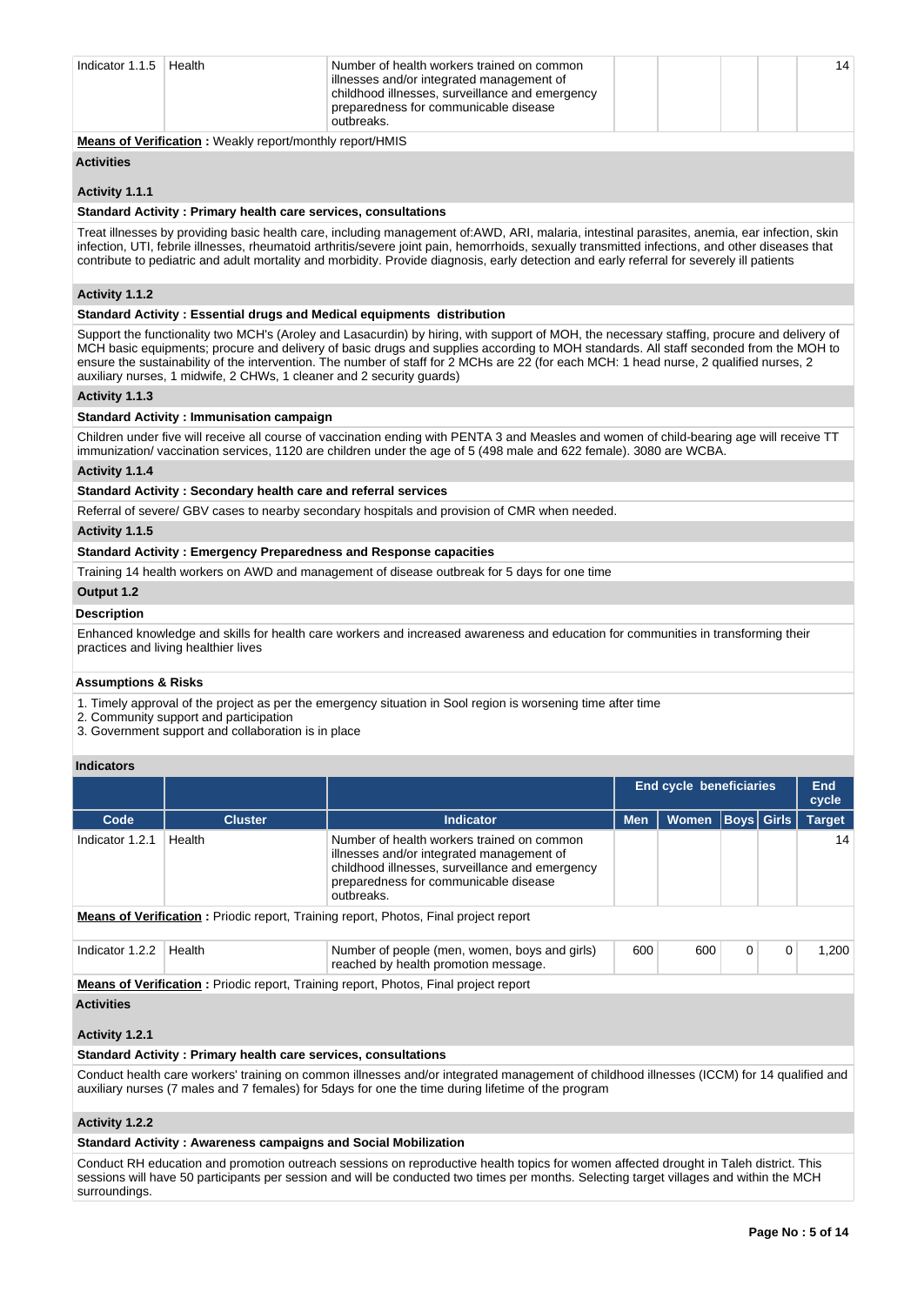| Indicator $1.1.5$ | Health | Number of health workers trained on common<br>illnesses and/or integrated management of<br>childhood illnesses, surveillance and emergency<br>preparedness for communicable disease<br>outbreaks. |  |  |  |  | 14 |
|-------------------|--------|---------------------------------------------------------------------------------------------------------------------------------------------------------------------------------------------------|--|--|--|--|----|
|-------------------|--------|---------------------------------------------------------------------------------------------------------------------------------------------------------------------------------------------------|--|--|--|--|----|

**Means of Verification :** Weakly report/monthly report/HMIS

# **Activities**

## **Activity 1.1.1**

## **Standard Activity : Primary health care services, consultations**

Treat illnesses by providing basic health care, including management of:AWD, ARI, malaria, intestinal parasites, anemia, ear infection, skin infection, UTI, febrile illnesses, rheumatoid arthritis/severe joint pain, hemorrhoids, sexually transmitted infections, and other diseases that contribute to pediatric and adult mortality and morbidity. Provide diagnosis, early detection and early referral for severely ill patients

## **Activity 1.1.2**

### **Standard Activity : Essential drugs and Medical equipments distribution**

Support the functionality two MCH's (Aroley and Lasacurdin) by hiring, with support of MOH, the necessary staffing, procure and delivery of MCH basic equipments; procure and delivery of basic drugs and supplies according to MOH standards. All staff seconded from the MOH to ensure the sustainability of the intervention. The number of staff for 2 MCHs are 22 (for each MCH: 1 head nurse, 2 qualified nurses, 2 auxiliary nurses, 1 midwife, 2 CHWs, 1 cleaner and 2 security guards)

## **Activity 1.1.3**

#### **Standard Activity : Immunisation campaign**

Children under five will receive all course of vaccination ending with PENTA 3 and Measles and women of child-bearing age will receive TT immunization/ vaccination services, 1120 are children under the age of 5 (498 male and 622 female). 3080 are WCBA.

#### **Activity 1.1.4**

#### **Standard Activity : Secondary health care and referral services**

Referral of severe/ GBV cases to nearby secondary hospitals and provision of CMR when needed.

### **Activity 1.1.5**

#### **Standard Activity : Emergency Preparedness and Response capacities**

Training 14 health workers on AWD and management of disease outbreak for 5 days for one time

#### **Output 1.2**

#### **Description**

Enhanced knowledge and skills for health care workers and increased awareness and education for communities in transforming their practices and living healthier lives

#### **Assumptions & Risks**

1. Timely approval of the project as per the emergency situation in Sool region is worsening time after time

2. Community support and participation

3. Government support and collaboration is in place

## **Indicators**

|                   |                |                                                                                                                                                                                                   | <b>End cycle beneficiaries</b>     |     |   |   | <b>End</b><br>cycle |  |  |  |
|-------------------|----------------|---------------------------------------------------------------------------------------------------------------------------------------------------------------------------------------------------|------------------------------------|-----|---|---|---------------------|--|--|--|
| Code              | <b>Cluster</b> | <b>Indicator</b>                                                                                                                                                                                  | Boys  Girls<br><b>Men</b><br>Women |     |   |   | <b>Target</b>       |  |  |  |
| Indicator 1.2.1   | Health         | Number of health workers trained on common<br>illnesses and/or integrated management of<br>childhood illnesses, surveillance and emergency<br>preparedness for communicable disease<br>outbreaks. |                                    |     |   |   | 14                  |  |  |  |
|                   |                | <b>Means of Verification:</b> Priodic report, Training report, Photos, Final project report                                                                                                       |                                    |     |   |   |                     |  |  |  |
| Indicator 1.2.2   | Health         | Number of people (men, women, boys and girls)<br>reached by health promotion message.                                                                                                             | 600                                | 600 | 0 | 0 | 1,200               |  |  |  |
|                   |                | <b>Means of Verification:</b> Priodic report, Training report, Photos, Final project report                                                                                                       |                                    |     |   |   |                     |  |  |  |
| <b>Activities</b> |                |                                                                                                                                                                                                   |                                    |     |   |   |                     |  |  |  |
| Activity 1.2.1    |                |                                                                                                                                                                                                   |                                    |     |   |   |                     |  |  |  |

#### **Standard Activity : Primary health care services, consultations**

Conduct health care workers' training on common illnesses and/or integrated management of childhood illnesses (ICCM) for 14 qualified and auxiliary nurses (7 males and 7 females) for 5days for one the time during lifetime of the program

#### **Activity 1.2.2**

#### **Standard Activity : Awareness campaigns and Social Mobilization**

Conduct RH education and promotion outreach sessions on reproductive health topics for women affected drought in Taleh district. This sessions will have 50 participants per session and will be conducted two times per months. Selecting target villages and within the MCH surroundings.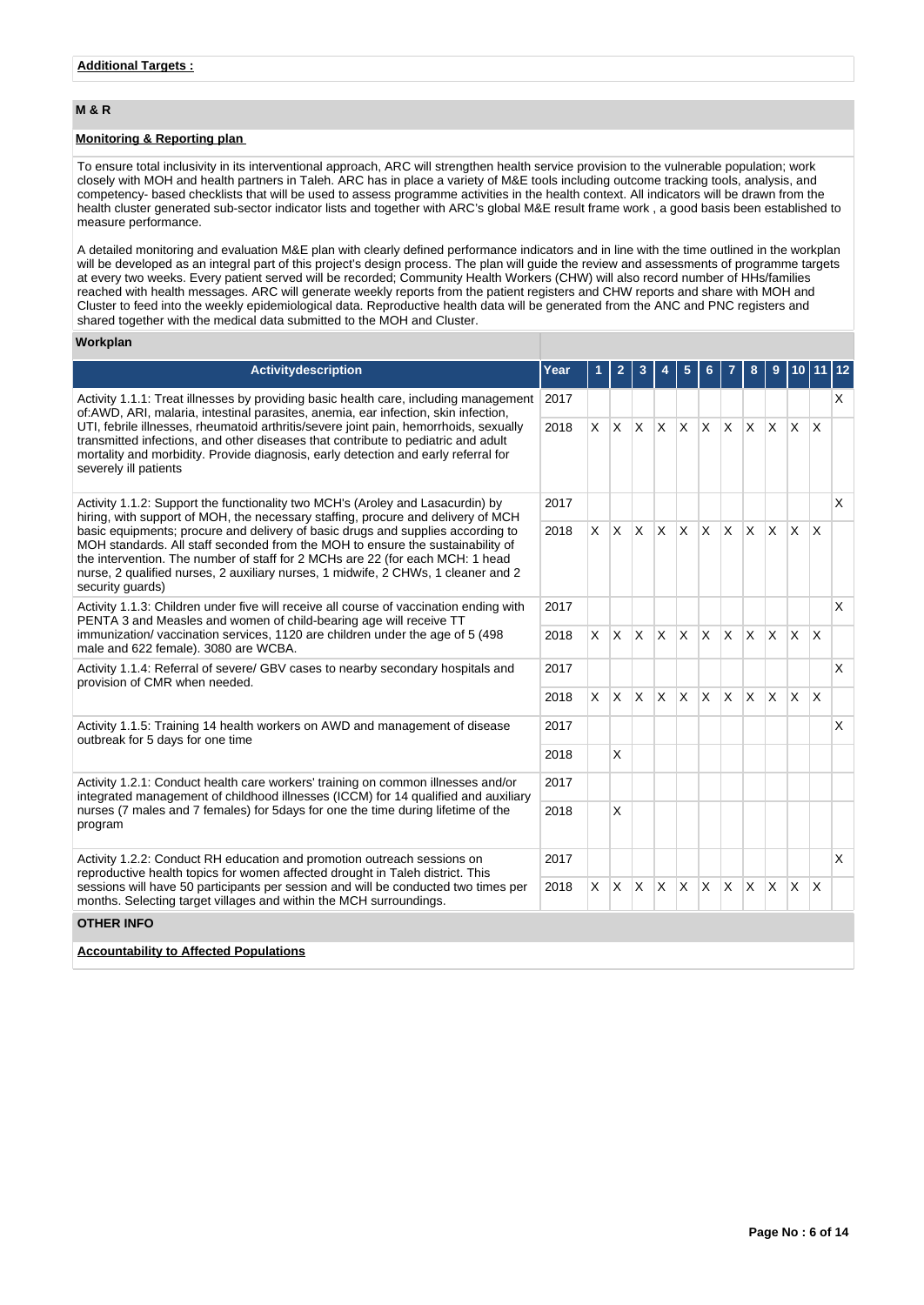## **M & R**

## **Monitoring & Reporting plan**

To ensure total inclusivity in its interventional approach, ARC will strengthen health service provision to the vulnerable population; work closely with MOH and health partners in Taleh. ARC has in place a variety of M&E tools including outcome tracking tools, analysis, and competency- based checklists that will be used to assess programme activities in the health context. All indicators will be drawn from the health cluster generated sub-sector indicator lists and together with ARC's global M&E result frame work , a good basis been established to measure performance.

A detailed monitoring and evaluation M&E plan with clearly defined performance indicators and in line with the time outlined in the workplan will be developed as an integral part of this project's design process. The plan will guide the review and assessments of programme targets at every two weeks. Every patient served will be recorded; Community Health Workers (CHW) will also record number of HHs/families reached with health messages. ARC will generate weekly reports from the patient registers and CHW reports and share with MOH and Cluster to feed into the weekly epidemiological data. Reproductive health data will be generated from the ANC and PNC registers and shared together with the medical data submitted to the MOH and Cluster.

## **Workplan**

| <b>Activitydescription</b>                                                                                                                                                                                                                                                                                                                                  | Year |          | 2            |              |              |              |              |              | 8            | 9   |              |                         | 12 |
|-------------------------------------------------------------------------------------------------------------------------------------------------------------------------------------------------------------------------------------------------------------------------------------------------------------------------------------------------------------|------|----------|--------------|--------------|--------------|--------------|--------------|--------------|--------------|-----|--------------|-------------------------|----|
| Activity 1.1.1: Treat illnesses by providing basic health care, including management<br>2017<br>of:AWD, ARI, malaria, intestinal parasites, anemia, ear infection, skin infection,                                                                                                                                                                          |      |          |              |              |              |              |              |              |              |     |              |                         | X  |
| UTI, febrile illnesses, rheumatoid arthritis/severe joint pain, hemorrhoids, sexually<br>transmitted infections, and other diseases that contribute to pediatric and adult<br>mortality and morbidity. Provide diagnosis, early detection and early referral for<br>severely ill patients                                                                   | 2018 | $\times$ | $\times$     |              | $x \times$   | ΙX.          | $\times$     | $\mathsf{X}$ | $\mathsf{X}$ | ΙX. | $\mathsf{x}$ | $\overline{\mathsf{x}}$ |    |
| Activity 1.1.2: Support the functionality two MCH's (Aroley and Lasacurdin) by<br>hiring, with support of MOH, the necessary staffing, procure and delivery of MCH                                                                                                                                                                                          | 2017 |          |              |              |              |              |              |              |              |     |              |                         | X  |
| basic equipments; procure and delivery of basic drugs and supplies according to<br>MOH standards. All staff seconded from the MOH to ensure the sustainability of<br>the intervention. The number of staff for 2 MCHs are 22 (for each MCH: 1 head<br>nurse, 2 qualified nurses, 2 auxiliary nurses, 1 midwife, 2 CHWs, 1 cleaner and 2<br>security guards) | 2018 | $\times$ |              |              | $X \times X$ |              | ΙX.          | $\mathsf{X}$ | $\mathsf{X}$ | Ιx. | ΙX.          | $\mathsf{X}$            |    |
| Activity 1.1.3: Children under five will receive all course of vaccination ending with<br>PENTA 3 and Measles and women of child-bearing age will receive TT<br>immunization/vaccination services, 1120 are children under the age of 5 (498)<br>male and 622 female). 3080 are WCBA.                                                                       | 2017 |          |              |              |              |              |              |              |              |     |              |                         | X  |
|                                                                                                                                                                                                                                                                                                                                                             | 2018 | <b>X</b> | $\mathsf{X}$ | $\mathsf{X}$ | $\mathsf{X}$ | <sup>X</sup> | $\mathsf{x}$ | Ιx.          | $x \times$   |     | $\mathsf{X}$ | $\mathsf{X}$            |    |
| Activity 1.1.4: Referral of severe/ GBV cases to nearby secondary hospitals and<br>provision of CMR when needed.                                                                                                                                                                                                                                            | 2017 |          |              |              |              |              |              |              |              |     |              |                         | X  |
|                                                                                                                                                                                                                                                                                                                                                             | 2018 | X.       | $x \times$   |              | $\mathsf{X}$ | <sup>X</sup> | $\mathsf{x}$ | Ιx.          | <b>X</b>     | ΙX. | ΙX.          | X                       |    |
| Activity 1.1.5: Training 14 health workers on AWD and management of disease<br>outbreak for 5 days for one time                                                                                                                                                                                                                                             | 2017 |          |              |              |              |              |              |              |              |     |              |                         | X  |
|                                                                                                                                                                                                                                                                                                                                                             | 2018 |          | X            |              |              |              |              |              |              |     |              |                         |    |
| Activity 1.2.1: Conduct health care workers' training on common illnesses and/or<br>integrated management of childhood illnesses (ICCM) for 14 qualified and auxiliary                                                                                                                                                                                      | 2017 |          |              |              |              |              |              |              |              |     |              |                         |    |
| nurses (7 males and 7 females) for 5days for one the time during lifetime of the<br>program                                                                                                                                                                                                                                                                 | 2018 |          | X            |              |              |              |              |              |              |     |              |                         |    |
| Activity 1.2.2: Conduct RH education and promotion outreach sessions on<br>reproductive health topics for women affected drought in Taleh district. This                                                                                                                                                                                                    | 2017 |          |              |              |              |              |              |              |              |     |              |                         | X  |
| sessions will have 50 participants per session and will be conducted two times per<br>months. Selecting target villages and within the MCH surroundings.                                                                                                                                                                                                    |      | X        | X            | $\mathsf{X}$ | $\mathsf{X}$ | X.           | $\times$     | ΙX.          | <b>X</b>     | ΙX. | IX.          | $\mathsf{I} \mathsf{X}$ |    |
| <b>OTHER INFO</b>                                                                                                                                                                                                                                                                                                                                           |      |          |              |              |              |              |              |              |              |     |              |                         |    |
| <b>Accountability to Affected Populations</b>                                                                                                                                                                                                                                                                                                               |      |          |              |              |              |              |              |              |              |     |              |                         |    |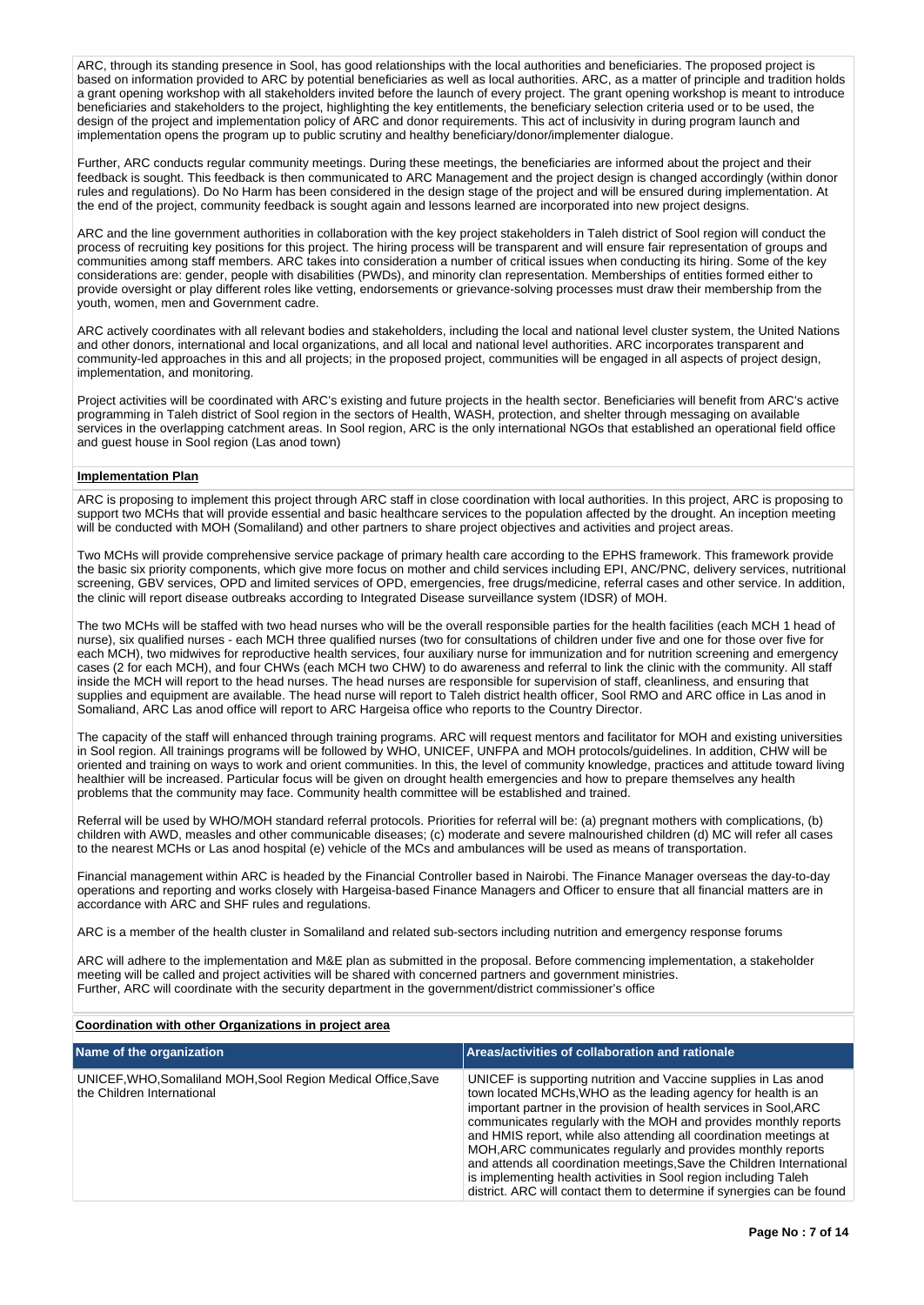ARC, through its standing presence in Sool, has good relationships with the local authorities and beneficiaries. The proposed project is based on information provided to ARC by potential beneficiaries as well as local authorities. ARC, as a matter of principle and tradition holds a grant opening workshop with all stakeholders invited before the launch of every project. The grant opening workshop is meant to introduce beneficiaries and stakeholders to the project, highlighting the key entitlements, the beneficiary selection criteria used or to be used, the design of the project and implementation policy of ARC and donor requirements. This act of inclusivity in during program launch and implementation opens the program up to public scrutiny and healthy beneficiary/donor/implementer dialogue.

Further, ARC conducts regular community meetings. During these meetings, the beneficiaries are informed about the project and their feedback is sought. This feedback is then communicated to ARC Management and the project design is changed accordingly (within donor rules and regulations). Do No Harm has been considered in the design stage of the project and will be ensured during implementation. At the end of the project, community feedback is sought again and lessons learned are incorporated into new project designs.

ARC and the line government authorities in collaboration with the key project stakeholders in Taleh district of Sool region will conduct the process of recruiting key positions for this project. The hiring process will be transparent and will ensure fair representation of groups and communities among staff members. ARC takes into consideration a number of critical issues when conducting its hiring. Some of the key considerations are: gender, people with disabilities (PWDs), and minority clan representation. Memberships of entities formed either to provide oversight or play different roles like vetting, endorsements or grievance-solving processes must draw their membership from the youth, women, men and Government cadre.

ARC actively coordinates with all relevant bodies and stakeholders, including the local and national level cluster system, the United Nations and other donors, international and local organizations, and all local and national level authorities. ARC incorporates transparent and community-led approaches in this and all projects; in the proposed project, communities will be engaged in all aspects of project design, implementation, and monitoring.

Project activities will be coordinated with ARC's existing and future projects in the health sector. Beneficiaries will benefit from ARC's active programming in Taleh district of Sool region in the sectors of Health, WASH, protection, and shelter through messaging on available services in the overlapping catchment areas. In Sool region, ARC is the only international NGOs that established an operational field office and guest house in Sool region (Las anod town)

#### **Implementation Plan**

ARC is proposing to implement this project through ARC staff in close coordination with local authorities. In this project, ARC is proposing to support two MCHs that will provide essential and basic healthcare services to the population affected by the drought. An inception meeting will be conducted with MOH (Somaliland) and other partners to share project objectives and activities and project areas.

Two MCHs will provide comprehensive service package of primary health care according to the EPHS framework. This framework provide the basic six priority components, which give more focus on mother and child services including EPI, ANC/PNC, delivery services, nutritional screening, GBV services, OPD and limited services of OPD, emergencies, free drugs/medicine, referral cases and other service. In addition, the clinic will report disease outbreaks according to Integrated Disease surveillance system (IDSR) of MOH.

The two MCHs will be staffed with two head nurses who will be the overall responsible parties for the health facilities (each MCH 1 head of nurse), six qualified nurses - each MCH three qualified nurses (two for consultations of children under five and one for those over five for each MCH), two midwives for reproductive health services, four auxiliary nurse for immunization and for nutrition screening and emergency cases (2 for each MCH), and four CHWs (each MCH two CHW) to do awareness and referral to link the clinic with the community. All staff inside the MCH will report to the head nurses. The head nurses are responsible for supervision of staff, cleanliness, and ensuring that supplies and equipment are available. The head nurse will report to Taleh district health officer, Sool RMO and ARC office in Las anod in Somaliand, ARC Las anod office will report to ARC Hargeisa office who reports to the Country Director.

The capacity of the staff will enhanced through training programs. ARC will request mentors and facilitator for MOH and existing universities in Sool region. All trainings programs will be followed by WHO, UNICEF, UNFPA and MOH protocols/guidelines. In addition, CHW will be oriented and training on ways to work and orient communities. In this, the level of community knowledge, practices and attitude toward living healthier will be increased. Particular focus will be given on drought health emergencies and how to prepare themselves any health problems that the community may face. Community health committee will be established and trained.

Referral will be used by WHO/MOH standard referral protocols. Priorities for referral will be: (a) pregnant mothers with complications, (b) children with AWD, measles and other communicable diseases; (c) moderate and severe malnourished children (d) MC will refer all cases to the nearest MCHs or Las anod hospital (e) vehicle of the MCs and ambulances will be used as means of transportation.

Financial management within ARC is headed by the Financial Controller based in Nairobi. The Finance Manager overseas the day-to-day operations and reporting and works closely with Hargeisa-based Finance Managers and Officer to ensure that all financial matters are in accordance with ARC and SHF rules and regulations.

ARC is a member of the health cluster in Somaliland and related sub-sectors including nutrition and emergency response forums

ARC will adhere to the implementation and M&E plan as submitted in the proposal. Before commencing implementation, a stakeholder meeting will be called and project activities will be shared with concerned partners and government ministries. Further, ARC will coordinate with the security department in the government/district commissioner's office

#### **Coordination with other Organizations in project area**

| Name of the organization                                                                    | Areas/activities of collaboration and rationale                                                                                                                                                                                                                                                                                                                                                                                                                                                                                                                                                                                          |
|---------------------------------------------------------------------------------------------|------------------------------------------------------------------------------------------------------------------------------------------------------------------------------------------------------------------------------------------------------------------------------------------------------------------------------------------------------------------------------------------------------------------------------------------------------------------------------------------------------------------------------------------------------------------------------------------------------------------------------------------|
| UNICEF, WHO, Somaliland MOH, Sool Region Medical Office, Save<br>the Children International | UNICEF is supporting nutrition and Vaccine supplies in Las anod<br>town located MCHs, WHO as the leading agency for health is an<br>important partner in the provision of health services in Sool, ARC<br>communicates regularly with the MOH and provides monthly reports<br>and HMIS report, while also attending all coordination meetings at<br>MOH, ARC communicates regularly and provides monthly reports<br>and attends all coordination meetings, Save the Children International<br>is implementing health activities in Sool region including Taleh<br>district. ARC will contact them to determine if synergies can be found |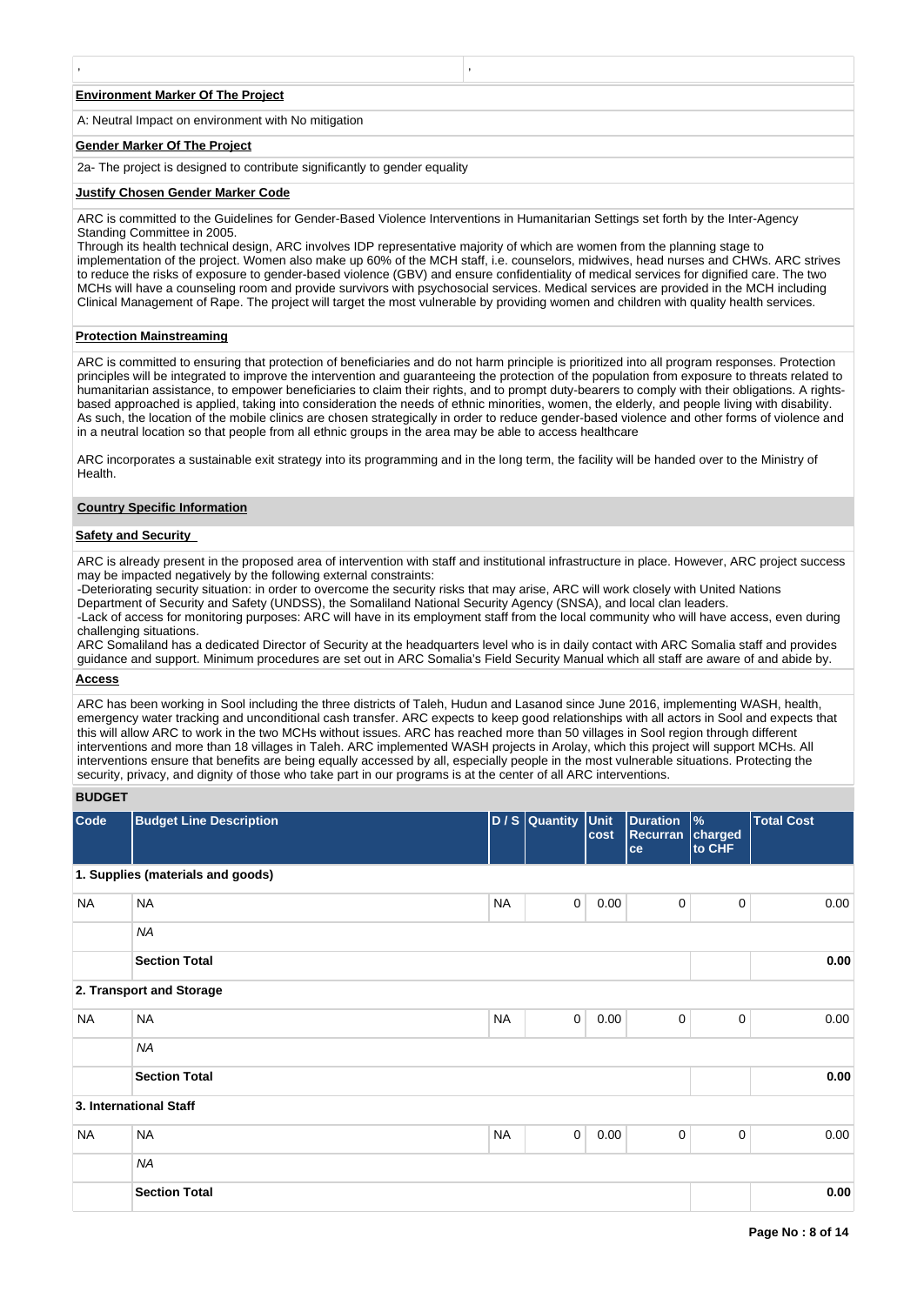#### **Environment Marker Of The Project**

A: Neutral Impact on environment with No mitigation

#### **Gender Marker Of The Project**

2a- The project is designed to contribute significantly to gender equality

, ,

#### **Justify Chosen Gender Marker Code**

ARC is committed to the Guidelines for Gender-Based Violence Interventions in Humanitarian Settings set forth by the Inter-Agency Standing Committee in 2005.

Through its health technical design, ARC involves IDP representative majority of which are women from the planning stage to implementation of the project. Women also make up 60% of the MCH staff, i.e. counselors, midwives, head nurses and CHWs. ARC strives to reduce the risks of exposure to gender-based violence (GBV) and ensure confidentiality of medical services for dignified care. The two MCHs will have a counseling room and provide survivors with psychosocial services. Medical services are provided in the MCH including Clinical Management of Rape. The project will target the most vulnerable by providing women and children with quality health services.

#### **Protection Mainstreaming**

ARC is committed to ensuring that protection of beneficiaries and do not harm principle is prioritized into all program responses. Protection principles will be integrated to improve the intervention and guaranteeing the protection of the population from exposure to threats related to humanitarian assistance, to empower beneficiaries to claim their rights, and to prompt duty-bearers to comply with their obligations. A rightsbased approached is applied, taking into consideration the needs of ethnic minorities, women, the elderly, and people living with disability. As such, the location of the mobile clinics are chosen strategically in order to reduce gender-based violence and other forms of violence and in a neutral location so that people from all ethnic groups in the area may be able to access healthcare

ARC incorporates a sustainable exit strategy into its programming and in the long term, the facility will be handed over to the Ministry of **Health** 

#### **Country Specific Information**

## **Safety and Security**

ARC is already present in the proposed area of intervention with staff and institutional infrastructure in place. However, ARC project success may be impacted negatively by the following external constraints:

-Deteriorating security situation: in order to overcome the security risks that may arise, ARC will work closely with United Nations Department of Security and Safety (UNDSS), the Somaliland National Security Agency (SNSA), and local clan leaders.

-Lack of access for monitoring purposes: ARC will have in its employment staff from the local community who will have access, even during challenging situations.

ARC Somaliland has a dedicated Director of Security at the headquarters level who is in daily contact with ARC Somalia staff and provides guidance and support. Minimum procedures are set out in ARC Somalia's Field Security Manual which all staff are aware of and abide by.

#### **Access**

ARC has been working in Sool including the three districts of Taleh, Hudun and Lasanod since June 2016, implementing WASH, health, emergency water tracking and unconditional cash transfer. ARC expects to keep good relationships with all actors in Sool and expects that this will allow ARC to work in the two MCHs without issues. ARC has reached more than 50 villages in Sool region through different interventions and more than 18 villages in Taleh. ARC implemented WASH projects in Arolay, which this project will support MCHs. All interventions ensure that benefits are being equally accessed by all, especially people in the most vulnerable situations. Protecting the security, privacy, and dignity of those who take part in our programs is at the center of all ARC interventions.

## **BUDGET**

| Code      | <b>Budget Line Description</b>    |           | D / S Quantity Unit | cost | <b>Duration</b><br>Recurran charged<br>ce | $\frac{9}{6}$<br>to CHF | <b>Total Cost</b> |
|-----------|-----------------------------------|-----------|---------------------|------|-------------------------------------------|-------------------------|-------------------|
|           | 1. Supplies (materials and goods) |           |                     |      |                                           |                         |                   |
| <b>NA</b> | <b>NA</b>                         | <b>NA</b> | $\mathbf 0$         | 0.00 | 0                                         | 0                       | 0.00              |
|           | <b>NA</b>                         |           |                     |      |                                           |                         |                   |
|           | <b>Section Total</b>              |           |                     |      |                                           |                         | 0.00              |
|           | 2. Transport and Storage          |           |                     |      |                                           |                         |                   |
| <b>NA</b> | <b>NA</b>                         | <b>NA</b> | $\mathbf 0$         | 0.00 | $\mathbf 0$                               | 0                       | 0.00              |
|           | <b>NA</b>                         |           |                     |      |                                           |                         |                   |
|           | <b>Section Total</b>              |           |                     |      |                                           |                         | 0.00              |
|           | 3. International Staff            |           |                     |      |                                           |                         |                   |
| <b>NA</b> | <b>NA</b>                         | <b>NA</b> | $\mathbf 0$         | 0.00 | $\mathbf 0$                               | $\mathbf 0$             | 0.00              |
|           | <b>NA</b>                         |           |                     |      |                                           |                         |                   |
|           | <b>Section Total</b>              |           |                     |      |                                           |                         | 0.00              |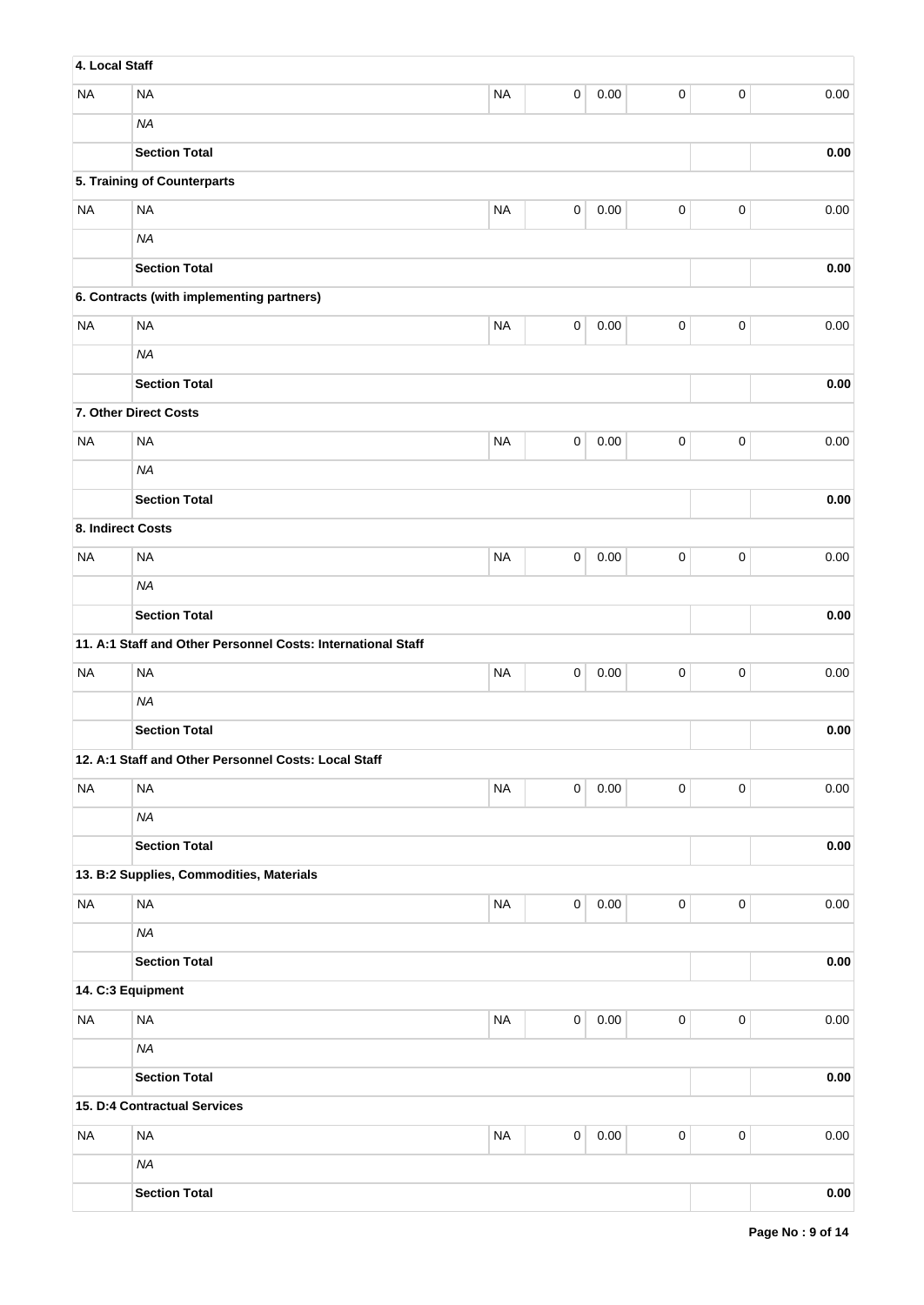| 4. Local Staff    |                                                              |           |             |          |             |           |          |
|-------------------|--------------------------------------------------------------|-----------|-------------|----------|-------------|-----------|----------|
| <b>NA</b>         | <b>NA</b>                                                    | <b>NA</b> | 0           | 0.00     | $\mathsf 0$ | $\pmb{0}$ | 0.00     |
|                   | <b>NA</b>                                                    |           |             |          |             |           |          |
|                   | <b>Section Total</b>                                         |           |             |          |             |           | 0.00     |
|                   | 5. Training of Counterparts                                  |           |             |          |             |           |          |
| <b>NA</b>         | <b>NA</b>                                                    | <b>NA</b> | 0           | 0.00     | $\pmb{0}$   | $\pmb{0}$ | 0.00     |
|                   | <b>NA</b>                                                    |           |             |          |             |           |          |
|                   | <b>Section Total</b>                                         |           |             |          |             |           | 0.00     |
|                   | 6. Contracts (with implementing partners)                    |           |             |          |             |           |          |
| <b>NA</b>         | <b>NA</b>                                                    | <b>NA</b> | $\mathbf 0$ | 0.00     | 0           | $\pmb{0}$ | 0.00     |
|                   | <b>NA</b>                                                    |           |             |          |             |           |          |
|                   | <b>Section Total</b>                                         |           |             |          |             |           | 0.00     |
|                   | 7. Other Direct Costs                                        |           |             |          |             |           |          |
| <b>NA</b>         | <b>NA</b>                                                    | <b>NA</b> | 0           | 0.00     | 0           | $\pmb{0}$ | 0.00     |
|                   | <b>NA</b>                                                    |           |             |          |             |           |          |
|                   | <b>Section Total</b>                                         |           |             |          |             |           | $0.00\,$ |
| 8. Indirect Costs |                                                              |           |             |          |             |           |          |
| <b>NA</b>         | <b>NA</b>                                                    | <b>NA</b> | 0           | 0.00     | 0           | $\pmb{0}$ | 0.00     |
|                   | <b>NA</b>                                                    |           |             |          |             |           |          |
|                   | <b>Section Total</b>                                         |           |             |          |             |           | $0.00\,$ |
|                   | 11. A:1 Staff and Other Personnel Costs: International Staff |           |             |          |             |           |          |
| <b>NA</b>         | <b>NA</b>                                                    | <b>NA</b> | 0           | 0.00     | $\pmb{0}$   | $\pmb{0}$ | 0.00     |
|                   | <b>NA</b>                                                    |           |             |          |             |           |          |
|                   | <b>Section Total</b>                                         |           |             |          |             |           | 0.00     |
|                   | 12. A:1 Staff and Other Personnel Costs: Local Staff         |           |             |          |             |           |          |
| <b>NA</b>         | <b>NA</b>                                                    | <b>NA</b> | $\pmb{0}$   | $0.00\,$ | 0           | $\pmb{0}$ | 0.00     |
|                   | <b>NA</b>                                                    |           |             |          |             |           |          |
|                   | <b>Section Total</b>                                         |           |             |          |             |           | 0.00     |
|                   | 13. B:2 Supplies, Commodities, Materials                     |           |             |          |             |           |          |
| <b>NA</b>         | <b>NA</b>                                                    | <b>NA</b> | $\pmb{0}$   | 0.00     | $\mathsf 0$ | $\pmb{0}$ | 0.00     |
|                   | <b>NA</b>                                                    |           |             |          |             |           |          |
|                   | <b>Section Total</b>                                         |           |             |          |             |           | 0.00     |
| 14. C:3 Equipment |                                                              |           |             |          |             |           |          |
| <b>NA</b>         | NA                                                           | $\sf NA$  | $\mathbf 0$ | $0.00\,$ | $\mathsf 0$ | $\pmb{0}$ | 0.00     |
|                   | <b>NA</b>                                                    |           |             |          |             |           |          |
|                   | <b>Section Total</b>                                         |           |             |          |             |           | $0.00\,$ |
|                   | 15. D:4 Contractual Services                                 |           |             |          |             |           |          |
| <b>NA</b>         | <b>NA</b>                                                    | <b>NA</b> | $\mathbf 0$ | $0.00\,$ | $\mathsf 0$ | $\pmb{0}$ | $0.00\,$ |
|                   | <b>NA</b>                                                    |           |             |          |             |           |          |
|                   | <b>Section Total</b>                                         |           |             |          |             |           | $0.00\,$ |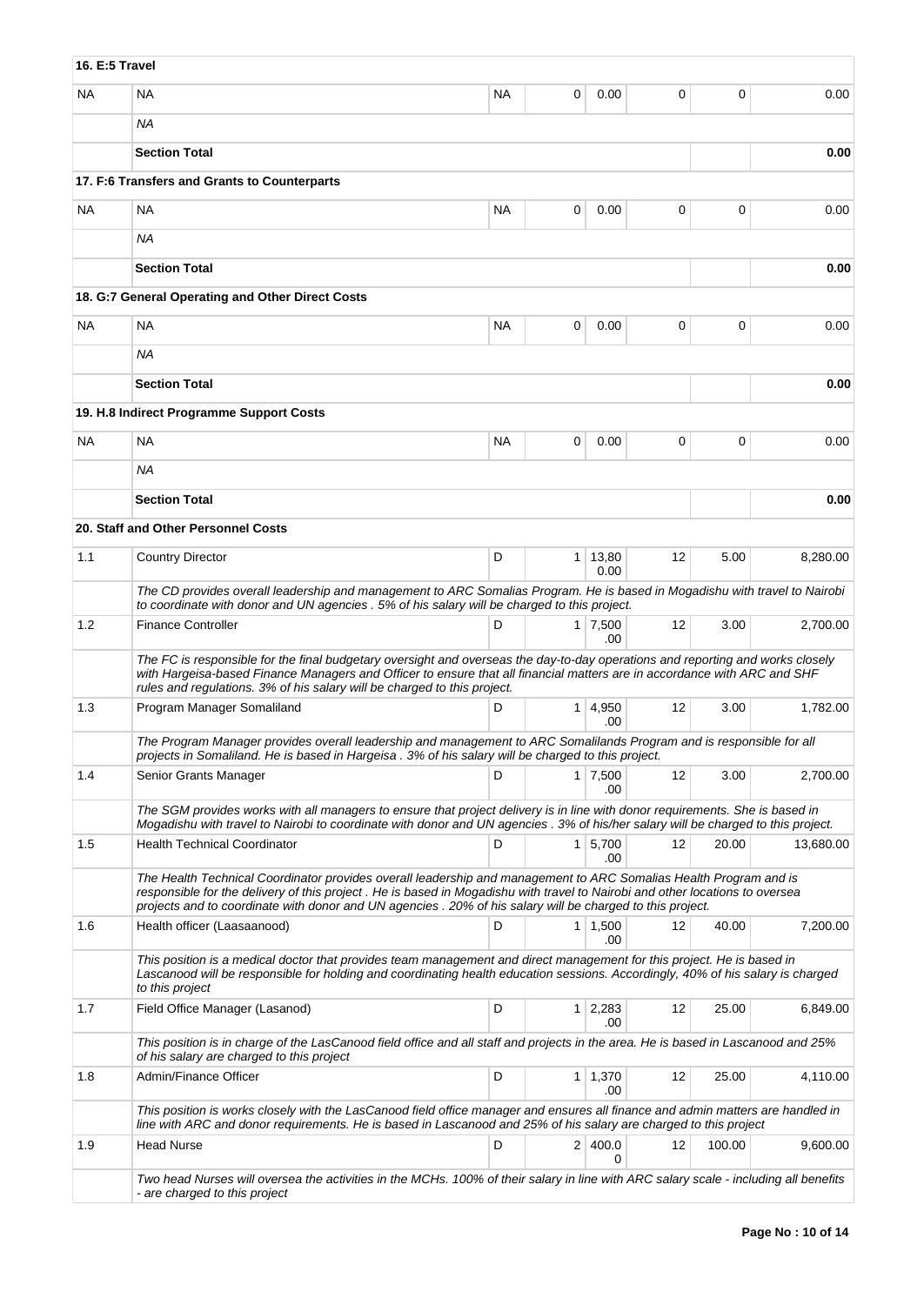| 16. E:5 Travel |                                                                                                                                                                                                                                                                                                                                                                 |           |                |                             |                   |        |           |
|----------------|-----------------------------------------------------------------------------------------------------------------------------------------------------------------------------------------------------------------------------------------------------------------------------------------------------------------------------------------------------------------|-----------|----------------|-----------------------------|-------------------|--------|-----------|
| <b>NA</b>      | <b>NA</b>                                                                                                                                                                                                                                                                                                                                                       | <b>NA</b> | 0              | 0.00                        | 0                 | 0      | 0.00      |
|                | ΝA                                                                                                                                                                                                                                                                                                                                                              |           |                |                             |                   |        |           |
|                | <b>Section Total</b>                                                                                                                                                                                                                                                                                                                                            |           |                |                             |                   |        | 0.00      |
|                | 17. F:6 Transfers and Grants to Counterparts                                                                                                                                                                                                                                                                                                                    |           |                |                             |                   |        |           |
| <b>NA</b>      | NA                                                                                                                                                                                                                                                                                                                                                              | NA        | 0              | 0.00                        | 0                 | 0      | 0.00      |
|                | <b>NA</b>                                                                                                                                                                                                                                                                                                                                                       |           |                |                             |                   |        |           |
|                | <b>Section Total</b>                                                                                                                                                                                                                                                                                                                                            |           |                |                             |                   |        | 0.00      |
|                | 18. G:7 General Operating and Other Direct Costs                                                                                                                                                                                                                                                                                                                |           |                |                             |                   |        |           |
| <b>NA</b>      | <b>NA</b>                                                                                                                                                                                                                                                                                                                                                       | <b>NA</b> | 0              | 0.00                        | 0                 | 0      | 0.00      |
|                | NA.                                                                                                                                                                                                                                                                                                                                                             |           |                |                             |                   |        |           |
|                | <b>Section Total</b>                                                                                                                                                                                                                                                                                                                                            |           |                |                             |                   |        | 0.00      |
|                | 19. H.8 Indirect Programme Support Costs                                                                                                                                                                                                                                                                                                                        |           |                |                             |                   |        |           |
| <b>NA</b>      | <b>NA</b>                                                                                                                                                                                                                                                                                                                                                       | <b>NA</b> | 0              | 0.00                        | 0                 | 0      | 0.00      |
|                | ΝA                                                                                                                                                                                                                                                                                                                                                              |           |                |                             |                   |        |           |
|                | <b>Section Total</b>                                                                                                                                                                                                                                                                                                                                            |           |                |                             |                   |        | 0.00      |
|                | 20. Staff and Other Personnel Costs                                                                                                                                                                                                                                                                                                                             |           |                |                             |                   |        |           |
| 1.1            | <b>Country Director</b>                                                                                                                                                                                                                                                                                                                                         | D         |                | 1 13,80<br>0.00             | $12 \overline{ }$ | 5.00   | 8,280.00  |
|                | The CD provides overall leadership and management to ARC Somalias Program. He is based in Mogadishu with travel to Nairobi<br>to coordinate with donor and UN agencies . 5% of his salary will be charged to this project.                                                                                                                                      |           |                |                             |                   |        |           |
| 1.2            | <b>Finance Controller</b>                                                                                                                                                                                                                                                                                                                                       | D         |                | $1 \overline{7,500}$<br>.00 | 12                | 3.00   | 2,700.00  |
|                | The FC is responsible for the final budgetary oversight and overseas the day-to-day operations and reporting and works closely<br>with Hargeisa-based Finance Managers and Officer to ensure that all financial matters are in accordance with ARC and SHF<br>rules and regulations. 3% of his salary will be charged to this project.                          |           |                |                             |                   |        |           |
| 1.3            | Program Manager Somaliland                                                                                                                                                                                                                                                                                                                                      | D         | 1 <sup>1</sup> | 4,950<br>.00                | $12 \overline{ }$ | 3.00   | 1.782.00  |
|                | The Program Manager provides overall leadership and management to ARC Somalilands Program and is responsible for all<br>projects in Somaliland. He is based in Hargeisa . 3% of his salary will be charged to this project.                                                                                                                                     |           |                |                             |                   |        |           |
| 1.4            | Senior Grants Manager                                                                                                                                                                                                                                                                                                                                           | D         |                | $1 \overline{7,500}$<br>.00 | 12                | 3.00   | 2,700.00  |
|                | The SGM provides works with all managers to ensure that project delivery is in line with donor requirements. She is based in                                                                                                                                                                                                                                    |           |                |                             |                   |        |           |
| 1.5            | Mogadishu with travel to Nairobi to coordinate with donor and UN agencies . 3% of his/her salary will be charged to this project.<br><b>Health Technical Coordinator</b>                                                                                                                                                                                        | D         |                | $1 \mid 5,700$              | 12                | 20.00  | 13,680.00 |
|                |                                                                                                                                                                                                                                                                                                                                                                 |           |                | .00                         |                   |        |           |
|                | The Health Technical Coordinator provides overall leadership and management to ARC Somalias Health Program and is<br>responsible for the delivery of this project. He is based in Mogadishu with travel to Nairobi and other locations to oversea<br>projects and to coordinate with donor and UN agencies . 20% of his salary will be charged to this project. |           |                |                             |                   |        |           |
| 1.6            | Health officer (Laasaanood)                                                                                                                                                                                                                                                                                                                                     | D         |                | $1 \mid 1,500$<br>.00       | 12                | 40.00  | 7,200.00  |
|                | This position is a medical doctor that provides team management and direct management for this project. He is based in<br>Lascanood will be responsible for holding and coordinating health education sessions. Accordingly, 40% of his salary is charged<br>to this project                                                                                    |           |                |                             |                   |        |           |
| 1.7            | Field Office Manager (Lasanod)                                                                                                                                                                                                                                                                                                                                  | D         |                | $1 \quad 2,283$             | 12                | 25.00  | 6,849.00  |
|                | This position is in charge of the LasCanood field office and all staff and projects in the area. He is based in Lascanood and 25%<br>of his salary are charged to this project                                                                                                                                                                                  |           |                | .00                         |                   |        |           |
| 1.8            | Admin/Finance Officer                                                                                                                                                                                                                                                                                                                                           | D         |                | $1 \mid 1,370$<br>.00       | 12                | 25.00  | 4,110.00  |
|                | This position is works closely with the LasCanood field office manager and ensures all finance and admin matters are handled in<br>line with ARC and donor requirements. He is based in Lascanood and 25% of his salary are charged to this project                                                                                                             |           |                |                             |                   |        |           |
| 1.9            | Head Nurse                                                                                                                                                                                                                                                                                                                                                      | D         |                | 2 400.0<br>0                | 12                | 100.00 | 9,600.00  |
|                | Two head Nurses will oversea the activities in the MCHs. 100% of their salary in line with ARC salary scale - including all benefits<br>- are charged to this project                                                                                                                                                                                           |           |                |                             |                   |        |           |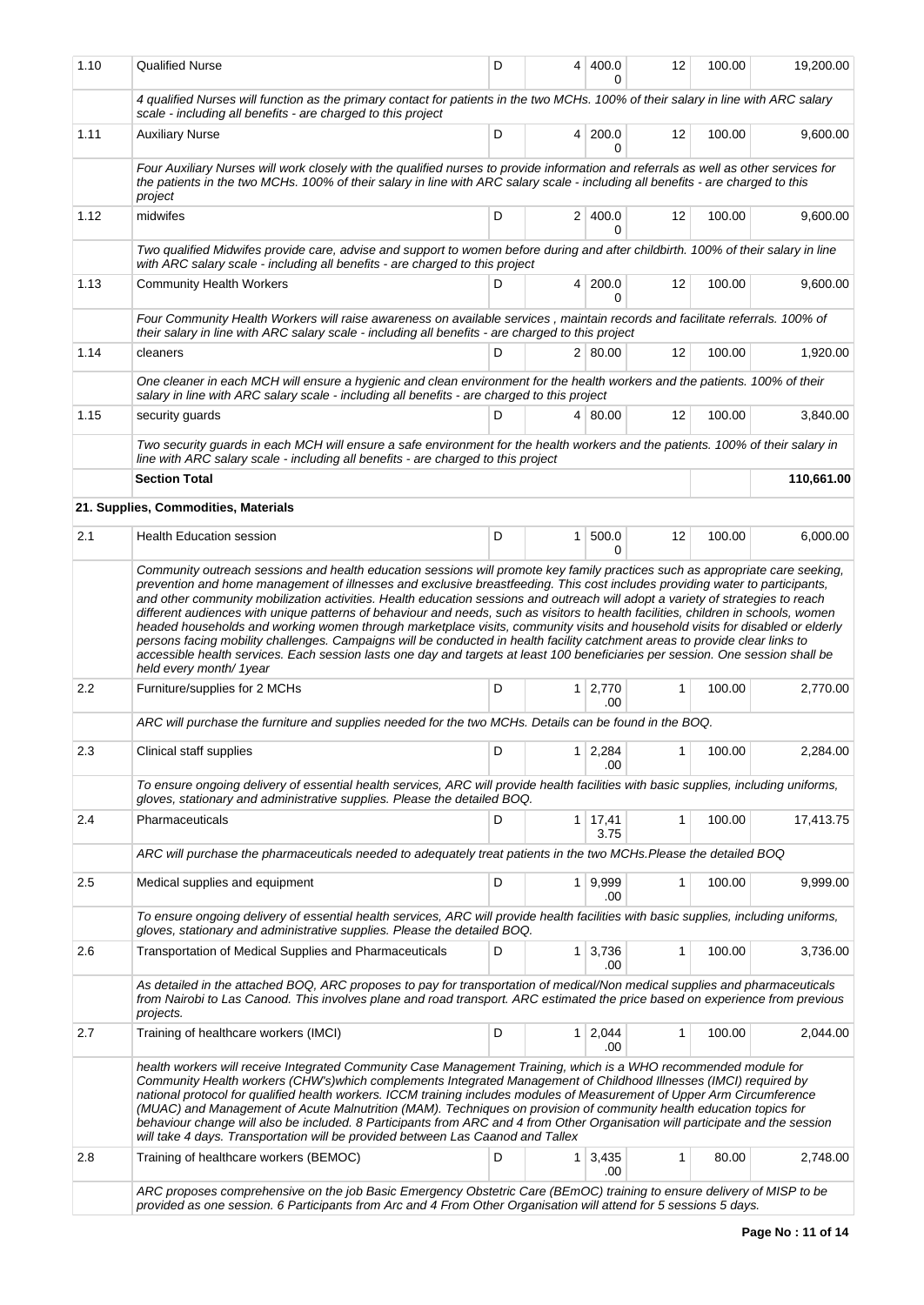| 1.10    | <b>Qualified Nurse</b>                                                                                                                                                                                                                                                                                                                                                                                                                                                                                                                                                                                                                                                                                        | D  | 4              | 400.0                      | 12 | 100.00 | 19,200.00  |  |  |
|---------|---------------------------------------------------------------------------------------------------------------------------------------------------------------------------------------------------------------------------------------------------------------------------------------------------------------------------------------------------------------------------------------------------------------------------------------------------------------------------------------------------------------------------------------------------------------------------------------------------------------------------------------------------------------------------------------------------------------|----|----------------|----------------------------|----|--------|------------|--|--|
|         | 4 qualified Nurses will function as the primary contact for patients in the two MCHs. 100% of their salary in line with ARC salary<br>scale - including all benefits - are charged to this project                                                                                                                                                                                                                                                                                                                                                                                                                                                                                                            |    |                |                            |    |        |            |  |  |
| 1.11    | <b>Auxiliary Nurse</b>                                                                                                                                                                                                                                                                                                                                                                                                                                                                                                                                                                                                                                                                                        | D  |                | 4 200.0<br>0               | 12 | 100.00 | 9,600.00   |  |  |
|         | Four Auxiliary Nurses will work closely with the qualified nurses to provide information and referrals as well as other services for<br>the patients in the two MCHs. 100% of their salary in line with ARC salary scale - including all benefits - are charged to this<br>project                                                                                                                                                                                                                                                                                                                                                                                                                            |    |                |                            |    |        |            |  |  |
| 1.12    | midwifes                                                                                                                                                                                                                                                                                                                                                                                                                                                                                                                                                                                                                                                                                                      | D  |                | 2 400.0<br>0               | 12 | 100.00 | 9,600.00   |  |  |
|         | Two qualified Midwifes provide care, advise and support to women before during and after childbirth. 100% of their salary in line<br>with ARC salary scale - including all benefits - are charged to this project                                                                                                                                                                                                                                                                                                                                                                                                                                                                                             |    |                |                            |    |        |            |  |  |
| 1.13    | <b>Community Health Workers</b>                                                                                                                                                                                                                                                                                                                                                                                                                                                                                                                                                                                                                                                                               | D  |                | 4 200.0<br>0               | 12 | 100.00 | 9,600.00   |  |  |
|         | Four Community Health Workers will raise awareness on available services, maintain records and facilitate referrals. 100% of<br>their salary in line with ARC salary scale - including all benefits - are charged to this project                                                                                                                                                                                                                                                                                                                                                                                                                                                                             |    |                |                            |    |        |            |  |  |
| 1.14    | cleaners                                                                                                                                                                                                                                                                                                                                                                                                                                                                                                                                                                                                                                                                                                      | D  |                | 2   80.00                  | 12 | 100.00 | 1,920.00   |  |  |
|         | One cleaner in each MCH will ensure a hygienic and clean environment for the health workers and the patients. 100% of their<br>salary in line with ARC salary scale - including all benefits - are charged to this project                                                                                                                                                                                                                                                                                                                                                                                                                                                                                    |    |                |                            |    |        |            |  |  |
| 1.15    | security guards                                                                                                                                                                                                                                                                                                                                                                                                                                                                                                                                                                                                                                                                                               | D. |                | 4 80.00                    | 12 | 100.00 | 3.840.00   |  |  |
|         | Two security guards in each MCH will ensure a safe environment for the health workers and the patients. 100% of their salary in<br>line with ARC salary scale - including all benefits - are charged to this project                                                                                                                                                                                                                                                                                                                                                                                                                                                                                          |    |                |                            |    |        |            |  |  |
|         | <b>Section Total</b>                                                                                                                                                                                                                                                                                                                                                                                                                                                                                                                                                                                                                                                                                          |    |                |                            |    |        | 110,661.00 |  |  |
|         | 21. Supplies, Commodities, Materials                                                                                                                                                                                                                                                                                                                                                                                                                                                                                                                                                                                                                                                                          |    |                |                            |    |        |            |  |  |
| 2.1     | <b>Health Education session</b>                                                                                                                                                                                                                                                                                                                                                                                                                                                                                                                                                                                                                                                                               | D  | 1 <sup>1</sup> | 500.0                      | 12 | 100.00 | 6,000.00   |  |  |
|         | and other community mobilization activities. Health education sessions and outreach will adopt a variety of strategies to reach<br>different audiences with unique patterns of behaviour and needs, such as visitors to health facilities, children in schools, women<br>headed households and working women through marketplace visits, community visits and household visits for disabled or elderly<br>persons facing mobility challenges. Campaigns will be conducted in health facility catchment areas to provide clear links to<br>accessible health services. Each session lasts one day and targets at least 100 beneficiaries per session. One session shall be<br>held every month/ 1year          |    |                |                            |    |        |            |  |  |
| $2.2\,$ | Furniture/supplies for 2 MCHs                                                                                                                                                                                                                                                                                                                                                                                                                                                                                                                                                                                                                                                                                 | D  |                | $1 \mid 2,770$<br>.00      | 1  | 100.00 | 2,770.00   |  |  |
|         | ARC will purchase the furniture and supplies needed for the two MCHs. Details can be found in the BOQ.                                                                                                                                                                                                                                                                                                                                                                                                                                                                                                                                                                                                        |    |                |                            |    |        |            |  |  |
| 2.3     | Clinical staff supplies                                                                                                                                                                                                                                                                                                                                                                                                                                                                                                                                                                                                                                                                                       | D  |                | $1 \mid 2,284 \mid$<br>.00 |    | 100.00 | 2,284.00   |  |  |
|         | To ensure ongoing delivery of essential health services, ARC will provide health facilities with basic supplies, including uniforms,<br>gloves, stationary and administrative supplies. Please the detailed BOQ.                                                                                                                                                                                                                                                                                                                                                                                                                                                                                              |    |                |                            |    |        |            |  |  |
| 2.4     | Pharmaceuticals                                                                                                                                                                                                                                                                                                                                                                                                                                                                                                                                                                                                                                                                                               | D  |                | 1 17,41<br>3.75            | 1  | 100.00 | 17,413.75  |  |  |
|         | ARC will purchase the pharmaceuticals needed to adequately treat patients in the two MCHs.Please the detailed BOQ                                                                                                                                                                                                                                                                                                                                                                                                                                                                                                                                                                                             |    |                |                            |    |        |            |  |  |
| 2.5     | Medical supplies and equipment                                                                                                                                                                                                                                                                                                                                                                                                                                                                                                                                                                                                                                                                                | D  |                | 1 9,999<br>.00             | 1  | 100.00 | 9,999.00   |  |  |
|         | To ensure ongoing delivery of essential health services, ARC will provide health facilities with basic supplies, including uniforms,<br>gloves, stationary and administrative supplies. Please the detailed BOQ.                                                                                                                                                                                                                                                                                                                                                                                                                                                                                              |    |                |                            |    |        |            |  |  |
| 2.6     | Transportation of Medical Supplies and Pharmaceuticals                                                                                                                                                                                                                                                                                                                                                                                                                                                                                                                                                                                                                                                        | D  |                | $1 \mid 3,736$<br>.00      | 1  | 100.00 | 3,736.00   |  |  |
|         | As detailed in the attached BOQ, ARC proposes to pay for transportation of medical/Non medical supplies and pharmaceuticals<br>from Nairobi to Las Canood. This involves plane and road transport. ARC estimated the price based on experience from previous<br>projects.                                                                                                                                                                                                                                                                                                                                                                                                                                     |    |                |                            |    |        |            |  |  |
| 2.7     | Training of healthcare workers (IMCI)                                                                                                                                                                                                                                                                                                                                                                                                                                                                                                                                                                                                                                                                         | D  |                | 1 2,044<br>.00.            | 1  | 100.00 | 2,044.00   |  |  |
|         | health workers will receive Integrated Community Case Management Training, which is a WHO recommended module for<br>Community Health workers (CHW's)which complements Integrated Management of Childhood Illnesses (IMCI) required by<br>national protocol for qualified health workers. ICCM training includes modules of Measurement of Upper Arm Circumference<br>(MUAC) and Management of Acute Malnutrition (MAM). Techniques on provision of community health education topics for<br>behaviour change will also be included. 8 Participants from ARC and 4 from Other Organisation will participate and the session<br>will take 4 days. Transportation will be provided between Las Caanod and Tallex |    |                |                            |    |        |            |  |  |
| 2.8     | Training of healthcare workers (BEMOC)                                                                                                                                                                                                                                                                                                                                                                                                                                                                                                                                                                                                                                                                        | D  | 1 <sup>1</sup> | 3,435<br>.00               | 1  | 80.00  | 2,748.00   |  |  |
|         | ARC proposes comprehensive on the job Basic Emergency Obstetric Care (BEmOC) training to ensure delivery of MISP to be<br>provided as one session. 6 Participants from Arc and 4 From Other Organisation will attend for 5 sessions 5 days.                                                                                                                                                                                                                                                                                                                                                                                                                                                                   |    |                |                            |    |        |            |  |  |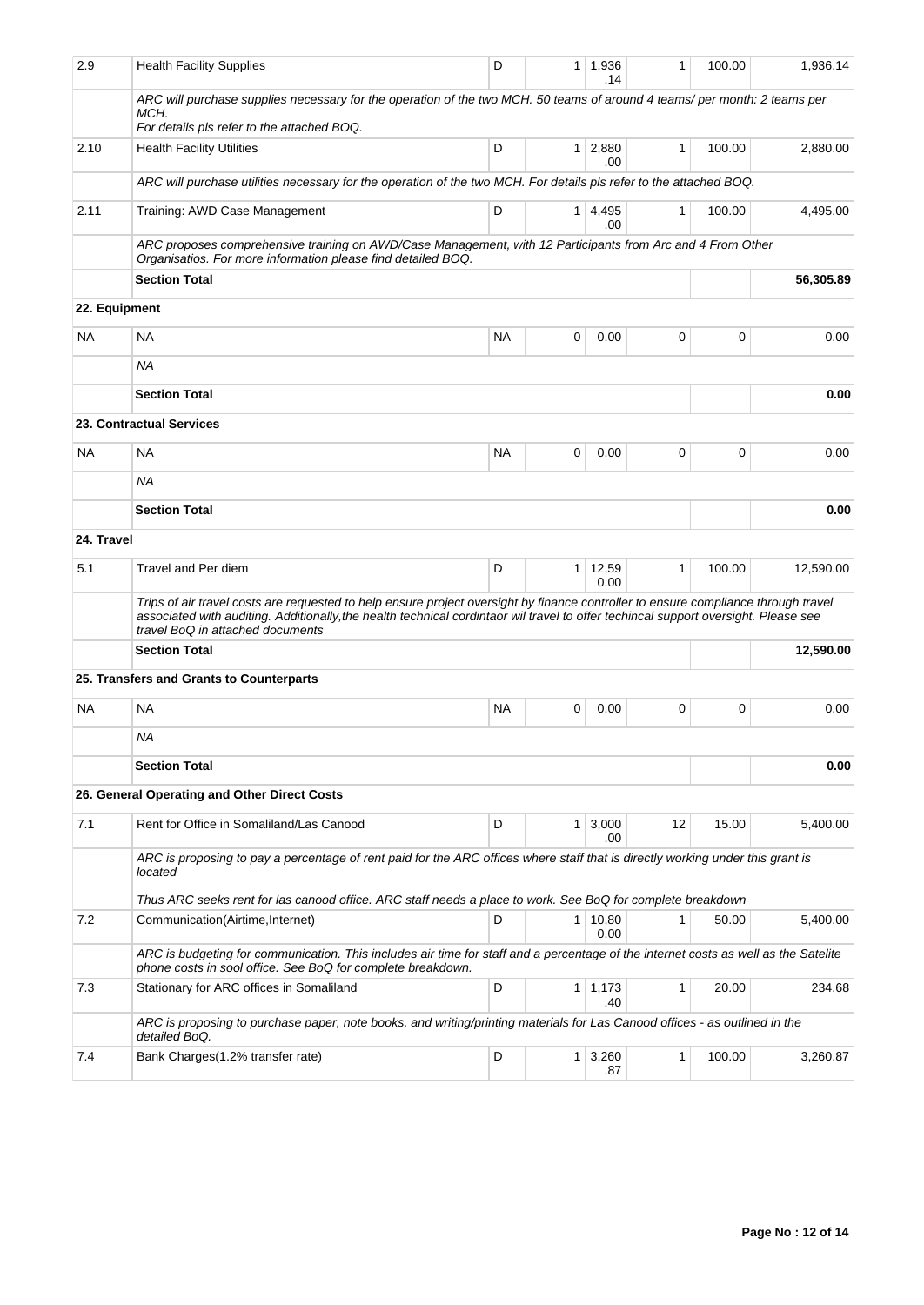| 2.9        | <b>Health Facility Supplies</b>                                                                                                                                                                                                                                                                               | D         | 1              | 1,936<br>.14   | 1            | 100.00 | 1,936.14  |
|------------|---------------------------------------------------------------------------------------------------------------------------------------------------------------------------------------------------------------------------------------------------------------------------------------------------------------|-----------|----------------|----------------|--------------|--------|-----------|
|            | ARC will purchase supplies necessary for the operation of the two MCH. 50 teams of around 4 teams/per month: 2 teams per<br>MCH.                                                                                                                                                                              |           |                |                |              |        |           |
| 2.10       | For details pls refer to the attached BOQ.<br><b>Health Facility Utilities</b>                                                                                                                                                                                                                                | D         | 1 <sup>1</sup> | 2,880          | $\mathbf{1}$ | 100.00 | 2,880.00  |
|            |                                                                                                                                                                                                                                                                                                               |           |                | .00            |              |        |           |
|            | ARC will purchase utilities necessary for the operation of the two MCH. For details pls refer to the attached BOQ.                                                                                                                                                                                            |           |                |                |              |        |           |
| 2.11       | Training: AWD Case Management                                                                                                                                                                                                                                                                                 | D         | 1 <sup>1</sup> | 4,495<br>.00   | 1            | 100.00 | 4,495.00  |
|            | ARC proposes comprehensive training on AWD/Case Management, with 12 Participants from Arc and 4 From Other<br>Organisatios. For more information please find detailed BOQ.                                                                                                                                    |           |                |                |              |        |           |
|            | <b>Section Total</b>                                                                                                                                                                                                                                                                                          |           |                |                |              |        | 56,305.89 |
|            | 22. Equipment                                                                                                                                                                                                                                                                                                 |           |                |                |              |        |           |
| NA.        | <b>NA</b>                                                                                                                                                                                                                                                                                                     | <b>NA</b> | 0              | 0.00           | 0            | 0      | 0.00      |
|            | <b>NA</b>                                                                                                                                                                                                                                                                                                     |           |                |                |              |        |           |
|            | <b>Section Total</b>                                                                                                                                                                                                                                                                                          |           |                |                |              |        | 0.00      |
|            | 23. Contractual Services                                                                                                                                                                                                                                                                                      |           |                |                |              |        |           |
| NA.        | <b>NA</b>                                                                                                                                                                                                                                                                                                     | <b>NA</b> | 0              | 0.00           | 0            | 0      | 0.00      |
|            | <b>NA</b>                                                                                                                                                                                                                                                                                                     |           |                |                |              |        |           |
|            | <b>Section Total</b>                                                                                                                                                                                                                                                                                          |           |                |                |              |        | 0.00      |
| 24. Travel |                                                                                                                                                                                                                                                                                                               |           |                |                |              |        |           |
|            |                                                                                                                                                                                                                                                                                                               |           |                |                |              |        |           |
| 5.1        | Travel and Per diem                                                                                                                                                                                                                                                                                           | D         | 1              | 12,59<br>0.00  | 1            | 100.00 | 12,590.00 |
|            | Trips of air travel costs are requested to help ensure project oversight by finance controller to ensure compliance through travel<br>associated with auditing. Additionally, the health technical cordintaor wil travel to offer techincal support oversight. Please see<br>travel BoQ in attached documents |           |                |                |              |        |           |
|            | <b>Section Total</b>                                                                                                                                                                                                                                                                                          |           |                |                |              |        | 12,590.00 |
|            | 25. Transfers and Grants to Counterparts                                                                                                                                                                                                                                                                      |           |                |                |              |        |           |
| <b>NA</b>  | <b>NA</b>                                                                                                                                                                                                                                                                                                     | <b>NA</b> | 0              | 0.00           | 0            | 0      | 0.00      |
|            | <b>NA</b>                                                                                                                                                                                                                                                                                                     |           |                |                |              |        |           |
|            | <b>Section Total</b>                                                                                                                                                                                                                                                                                          |           |                |                |              |        | 0.00      |
|            | 26. General Operating and Other Direct Costs                                                                                                                                                                                                                                                                  |           |                |                |              |        |           |
|            |                                                                                                                                                                                                                                                                                                               |           |                |                |              |        |           |
| 7.1        | Rent for Office in Somaliland/Las Canood                                                                                                                                                                                                                                                                      | D         | 1              | 3,000<br>.00   | 12           | 15.00  | 5,400.00  |
|            | ARC is proposing to pay a percentage of rent paid for the ARC offices where staff that is directly working under this grant is<br>located                                                                                                                                                                     |           |                |                |              |        |           |
|            | Thus ARC seeks rent for las canood office. ARC staff needs a place to work. See BoQ for complete breakdown                                                                                                                                                                                                    |           |                |                |              |        |           |
| 7.2        | Communication(Airtime,Internet)                                                                                                                                                                                                                                                                               | D         | 1 <sup>1</sup> | 10,80<br>0.00  | 1            | 50.00  | 5,400.00  |
|            | ARC is budgeting for communication. This includes air time for staff and a percentage of the internet costs as well as the Satelite<br>phone costs in sool office. See BoQ for complete breakdown.                                                                                                            |           |                |                |              |        |           |
| 7.3        | Stationary for ARC offices in Somaliland                                                                                                                                                                                                                                                                      | D         |                | $1 \mid 1,173$ | 1            | 20.00  | 234.68    |
|            | ARC is proposing to purchase paper, note books, and writing/printing materials for Las Canood offices - as outlined in the                                                                                                                                                                                    |           |                | .40            |              |        |           |
|            | detailed BoQ.                                                                                                                                                                                                                                                                                                 |           |                |                |              |        |           |
| 7.4        | Bank Charges (1.2% transfer rate)                                                                                                                                                                                                                                                                             | D         | 1 <sup>1</sup> | 3,260<br>.87   | 1            | 100.00 | 3,260.87  |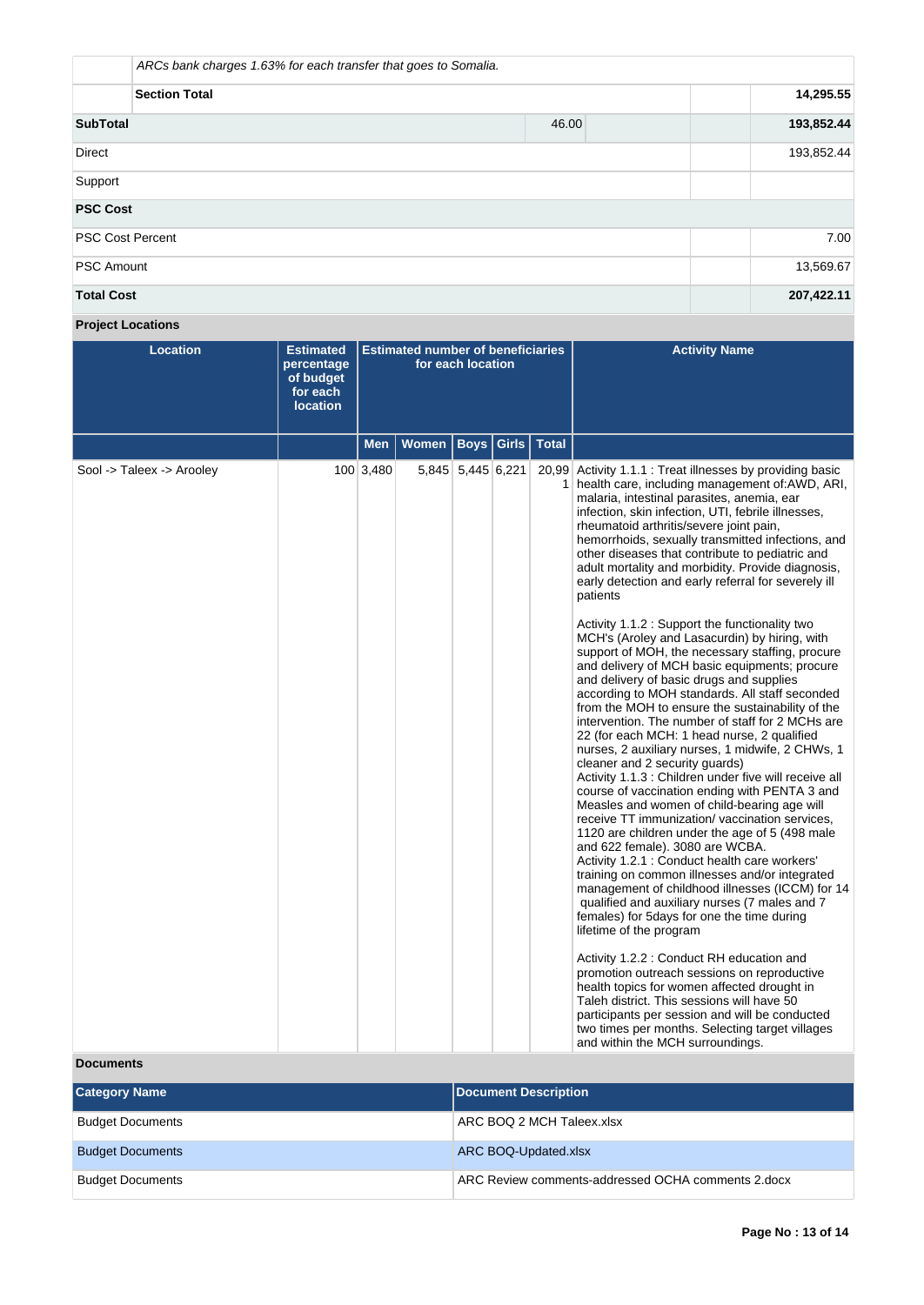| ARCs bank charges 1.63% for each transfer that goes to Somalia. |            |           |            |  |  |  |  |
|-----------------------------------------------------------------|------------|-----------|------------|--|--|--|--|
| <b>Section Total</b>                                            |            |           |            |  |  |  |  |
| <b>SubTotal</b>                                                 | 46.00      |           | 193,852.44 |  |  |  |  |
| <b>Direct</b>                                                   | 193,852.44 |           |            |  |  |  |  |
| Support                                                         |            |           |            |  |  |  |  |
| <b>PSC Cost</b>                                                 |            |           |            |  |  |  |  |
| <b>PSC Cost Percent</b>                                         |            |           | 7.00       |  |  |  |  |
| <b>PSC Amount</b>                                               |            | 13,569.67 |            |  |  |  |  |
| <b>Total Cost</b>                                               |            |           | 207,422.11 |  |  |  |  |

# **Project Locations**

| <b>Location</b>           | <b>Estimated</b><br>percentage<br>of budget<br>for each<br><b>location</b> | <b>Estimated number of beneficiaries</b><br>for each location |              |                   |  |               | <b>Activity Name</b>                                                                                                                                                                                                                                                                                                                                                                                                                                                                                                                                                                                                                                                                                                                                                                                                                                                                                                                                                                                                                                                                                                                                                                                                                                                                                                                                                                                                                                                                                                                                                                                                                                                                                                                                                                                                                                                                                                                                            |
|---------------------------|----------------------------------------------------------------------------|---------------------------------------------------------------|--------------|-------------------|--|---------------|-----------------------------------------------------------------------------------------------------------------------------------------------------------------------------------------------------------------------------------------------------------------------------------------------------------------------------------------------------------------------------------------------------------------------------------------------------------------------------------------------------------------------------------------------------------------------------------------------------------------------------------------------------------------------------------------------------------------------------------------------------------------------------------------------------------------------------------------------------------------------------------------------------------------------------------------------------------------------------------------------------------------------------------------------------------------------------------------------------------------------------------------------------------------------------------------------------------------------------------------------------------------------------------------------------------------------------------------------------------------------------------------------------------------------------------------------------------------------------------------------------------------------------------------------------------------------------------------------------------------------------------------------------------------------------------------------------------------------------------------------------------------------------------------------------------------------------------------------------------------------------------------------------------------------------------------------------------------|
|                           |                                                                            | Men                                                           | <b>Women</b> | <b>Boys</b>       |  | Girls   Total |                                                                                                                                                                                                                                                                                                                                                                                                                                                                                                                                                                                                                                                                                                                                                                                                                                                                                                                                                                                                                                                                                                                                                                                                                                                                                                                                                                                                                                                                                                                                                                                                                                                                                                                                                                                                                                                                                                                                                                 |
| Sool -> Taleex -> Arooley |                                                                            | 100 3,480                                                     |              | 5,845 5,445 6,221 |  |               | 20,99 Activity 1.1.1 : Treat illnesses by providing basic<br>health care, including management of: AWD, ARI,<br>malaria, intestinal parasites, anemia, ear<br>infection, skin infection, UTI, febrile illnesses,<br>rheumatoid arthritis/severe joint pain,<br>hemorrhoids, sexually transmitted infections, and<br>other diseases that contribute to pediatric and<br>adult mortality and morbidity. Provide diagnosis,<br>early detection and early referral for severely ill<br>patients<br>Activity 1.1.2 : Support the functionality two<br>MCH's (Aroley and Lasacurdin) by hiring, with<br>support of MOH, the necessary staffing, procure<br>and delivery of MCH basic equipments; procure<br>and delivery of basic drugs and supplies<br>according to MOH standards. All staff seconded<br>from the MOH to ensure the sustainability of the<br>intervention. The number of staff for 2 MCHs are<br>22 (for each MCH: 1 head nurse, 2 qualified<br>nurses, 2 auxiliary nurses, 1 midwife, 2 CHWs, 1<br>cleaner and 2 security guards)<br>Activity 1.1.3 : Children under five will receive all<br>course of vaccination ending with PENTA 3 and<br>Measles and women of child-bearing age will<br>receive TT immunization/vaccination services,<br>1120 are children under the age of 5 (498 male<br>and 622 female). 3080 are WCBA.<br>Activity 1.2.1 : Conduct health care workers'<br>training on common illnesses and/or integrated<br>management of childhood illnesses (ICCM) for 14<br>qualified and auxiliary nurses (7 males and 7<br>females) for 5 days for one the time during<br>lifetime of the program<br>Activity 1.2.2 : Conduct RH education and<br>promotion outreach sessions on reproductive<br>health topics for women affected drought in<br>Taleh district. This sessions will have 50<br>participants per session and will be conducted<br>two times per months. Selecting target villages<br>and within the MCH surroundings. |

# **Documents**

| <b>Category Name</b>    | Document Description                               |
|-------------------------|----------------------------------------------------|
| <b>Budget Documents</b> | ARC BOQ 2 MCH Taleex.xlsx                          |
| <b>Budget Documents</b> | ARC BOQ-Updated.xlsx                               |
| <b>Budget Documents</b> | ARC Review comments-addressed OCHA comments 2.docx |